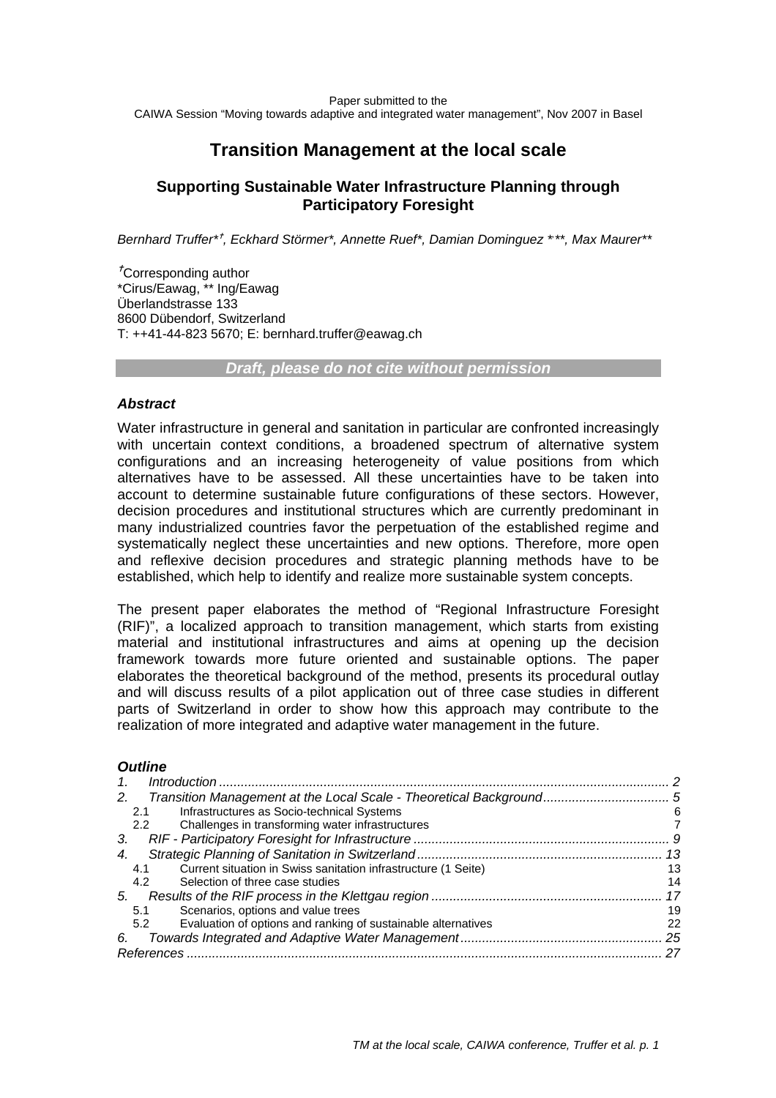# **Transition Management at the local scale**

## **Supporting Sustainable Water Infrastructure Planning through Participatory Foresight**

Bernhard Truffer\*<sup>†</sup>, Eckhard Störmer\*, Annette Ruef\*, Damian Dominguez \*\*\*, Max Maurer\*\*

 $<sup>*t*</sup>$ Corresponding author</sup> \*Cirus/Eawag, \*\* Ing/Eawag Überlandstrasse 133 8600 Dübendorf, Switzerland T: ++41-44-823 5670; E: bernhard.truffer@eawag.ch

*Draft, please do not cite without permission* 

### *Abstract*

Water infrastructure in general and sanitation in particular are confronted increasingly with uncertain context conditions, a broadened spectrum of alternative system configurations and an increasing heterogeneity of value positions from which alternatives have to be assessed. All these uncertainties have to be taken into account to determine sustainable future configurations of these sectors. However, decision procedures and institutional structures which are currently predominant in many industrialized countries favor the perpetuation of the established regime and systematically neglect these uncertainties and new options. Therefore, more open and reflexive decision procedures and strategic planning methods have to be established, which help to identify and realize more sustainable system concepts.

The present paper elaborates the method of "Regional Infrastructure Foresight (RIF)", a localized approach to transition management, which starts from existing material and institutional infrastructures and aims at opening up the decision framework towards more future oriented and sustainable options. The paper elaborates the theoretical background of the method, presents its procedural outlay and will discuss results of a pilot application out of three case studies in different parts of Switzerland in order to show how this approach may contribute to the realization of more integrated and adaptive water management in the future.

### *[Ou](#page-1-0)tline*

| 2. | Transition Management at the Local Scale - Theoretical Background 5   |    |  |  |  |  |  |
|----|-----------------------------------------------------------------------|----|--|--|--|--|--|
|    | Infrastructures as Socio-technical Systems<br>2.1                     | 6  |  |  |  |  |  |
|    | Challenges in transforming water infrastructures<br>$2.2^{\circ}$     |    |  |  |  |  |  |
| 3. |                                                                       |    |  |  |  |  |  |
| 4. |                                                                       | 13 |  |  |  |  |  |
|    | Current situation in Swiss sanitation infrastructure (1 Seite)<br>4.1 | 13 |  |  |  |  |  |
|    | Selection of three case studies<br>4.2                                | 14 |  |  |  |  |  |
|    |                                                                       |    |  |  |  |  |  |
|    | Scenarios, options and value trees<br>5.1                             | 19 |  |  |  |  |  |
|    | Evaluation of options and ranking of sustainable alternatives<br>5.2  | 22 |  |  |  |  |  |
| 6. |                                                                       |    |  |  |  |  |  |
|    | References                                                            |    |  |  |  |  |  |
|    |                                                                       |    |  |  |  |  |  |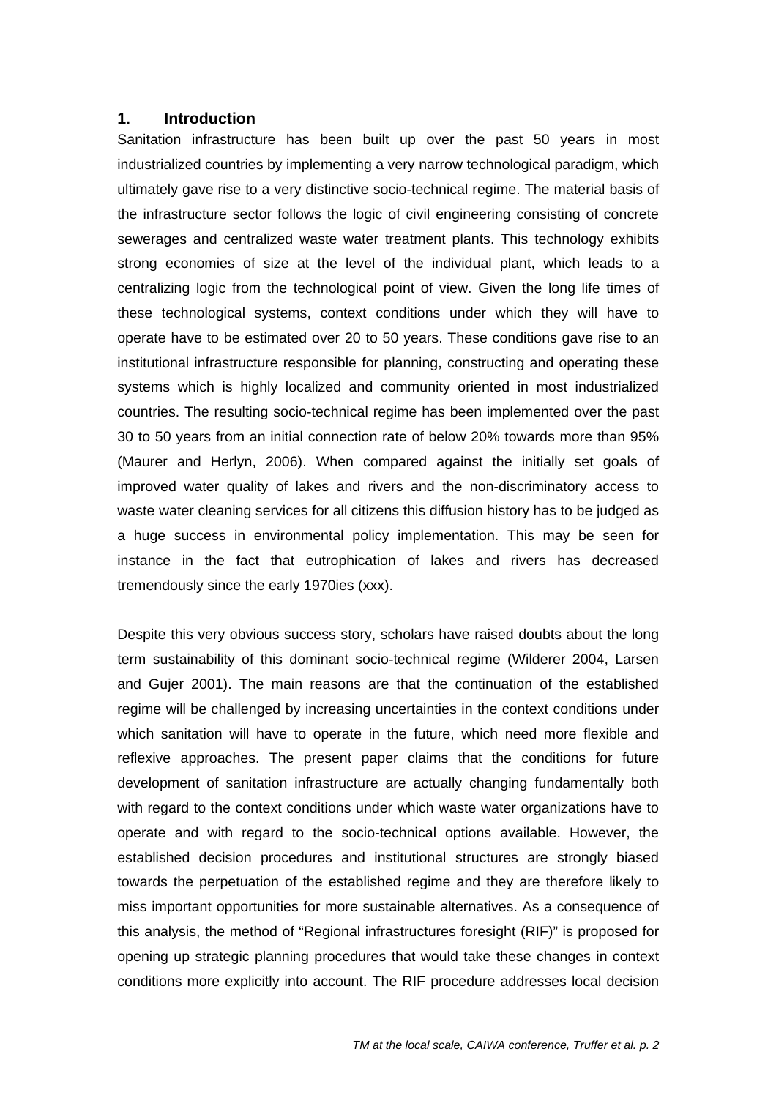### <span id="page-1-0"></span>**1. Introduction**

Sanitation infrastructure has been built up over the past 50 years in most industrialized countries by implementing a very narrow technological paradigm, which ultimately gave rise to a very distinctive socio-technical regime. The material basis of the infrastructure sector follows the logic of civil engineering consisting of concrete sewerages and centralized waste water treatment plants. This technology exhibits strong economies of size at the level of the individual plant, which leads to a centralizing logic from the technological point of view. Given the long life times of these technological systems, context conditions under which they will have to operate have to be estimated over 20 to 50 years. These conditions gave rise to an institutional infrastructure responsible for planning, constructing and operating these systems which is highly localized and community oriented in most industrialized countries. The resulting socio-technical regime has been implemented over the past 30 to 50 years from an initial connection rate of below 20% towards more than 95% (Maurer and Herlyn, 2006). When compared against the initially set goals of improved water quality of lakes and rivers and the non-discriminatory access to waste water cleaning services for all citizens this diffusion history has to be judged as a huge success in environmental policy implementation. This may be seen for instance in the fact that eutrophication of lakes and rivers has decreased tremendously since the early 1970ies (xxx).

Despite this very obvious success story, scholars have raised doubts about the long term sustainability of this dominant socio-technical regime (Wilderer 2004, Larsen and Gujer 2001). The main reasons are that the continuation of the established regime will be challenged by increasing uncertainties in the context conditions under which sanitation will have to operate in the future, which need more flexible and reflexive approaches. The present paper claims that the conditions for future development of sanitation infrastructure are actually changing fundamentally both with regard to the context conditions under which waste water organizations have to operate and with regard to the socio-technical options available. However, the established decision procedures and institutional structures are strongly biased towards the perpetuation of the established regime and they are therefore likely to miss important opportunities for more sustainable alternatives. As a consequence of this analysis, the method of "Regional infrastructures foresight (RIF)" is proposed for opening up strategic planning procedures that would take these changes in context conditions more explicitly into account. The RIF procedure addresses local decision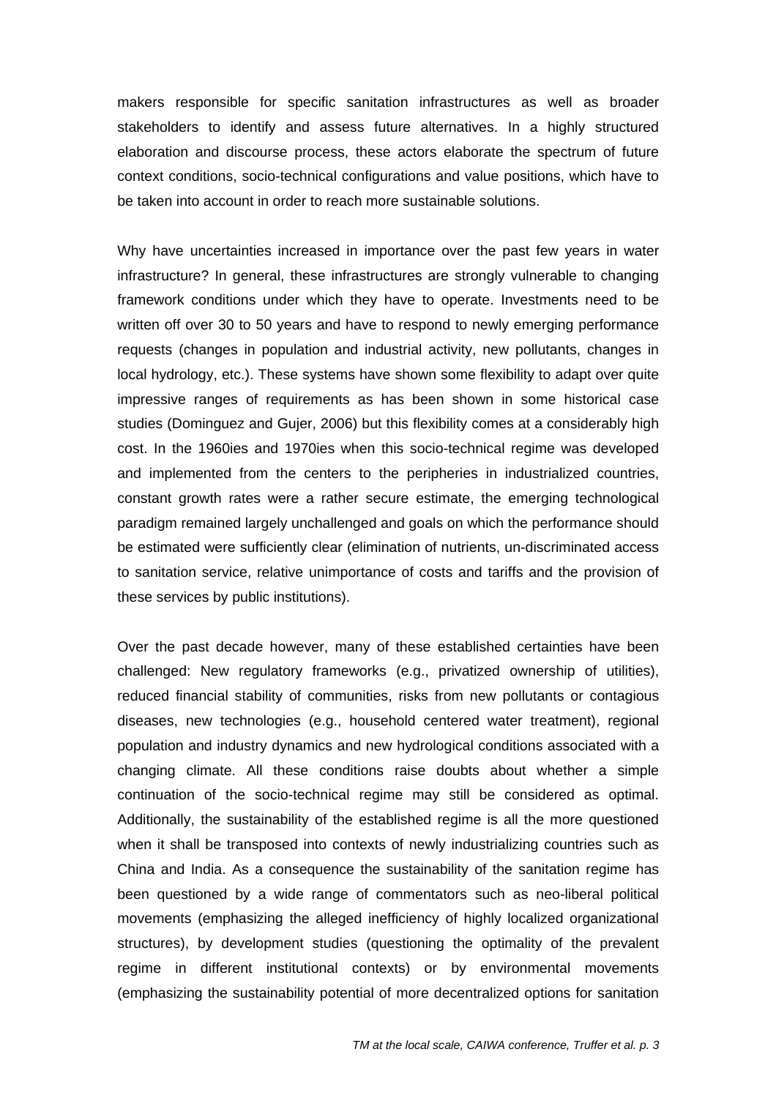makers responsible for specific sanitation infrastructures as well as broader stakeholders to identify and assess future alternatives. In a highly structured elaboration and discourse process, these actors elaborate the spectrum of future context conditions, socio-technical configurations and value positions, which have to be taken into account in order to reach more sustainable solutions.

Why have uncertainties increased in importance over the past few years in water infrastructure? In general, these infrastructures are strongly vulnerable to changing framework conditions under which they have to operate. Investments need to be written off over 30 to 50 years and have to respond to newly emerging performance requests (changes in population and industrial activity, new pollutants, changes in local hydrology, etc.). These systems have shown some flexibility to adapt over quite impressive ranges of requirements as has been shown in some historical case studies (Dominguez and Gujer, 2006) but this flexibility comes at a considerably high cost. In the 1960ies and 1970ies when this socio-technical regime was developed and implemented from the centers to the peripheries in industrialized countries, constant growth rates were a rather secure estimate, the emerging technological paradigm remained largely unchallenged and goals on which the performance should be estimated were sufficiently clear (elimination of nutrients, un-discriminated access to sanitation service, relative unimportance of costs and tariffs and the provision of these services by public institutions).

Over the past decade however, many of these established certainties have been challenged: New regulatory frameworks (e.g., privatized ownership of utilities), reduced financial stability of communities, risks from new pollutants or contagious diseases, new technologies (e.g., household centered water treatment), regional population and industry dynamics and new hydrological conditions associated with a changing climate. All these conditions raise doubts about whether a simple continuation of the socio-technical regime may still be considered as optimal. Additionally, the sustainability of the established regime is all the more questioned when it shall be transposed into contexts of newly industrializing countries such as China and India. As a consequence the sustainability of the sanitation regime has been questioned by a wide range of commentators such as neo-liberal political movements (emphasizing the alleged inefficiency of highly localized organizational structures), by development studies (questioning the optimality of the prevalent regime in different institutional contexts) or by environmental movements (emphasizing the sustainability potential of more decentralized options for sanitation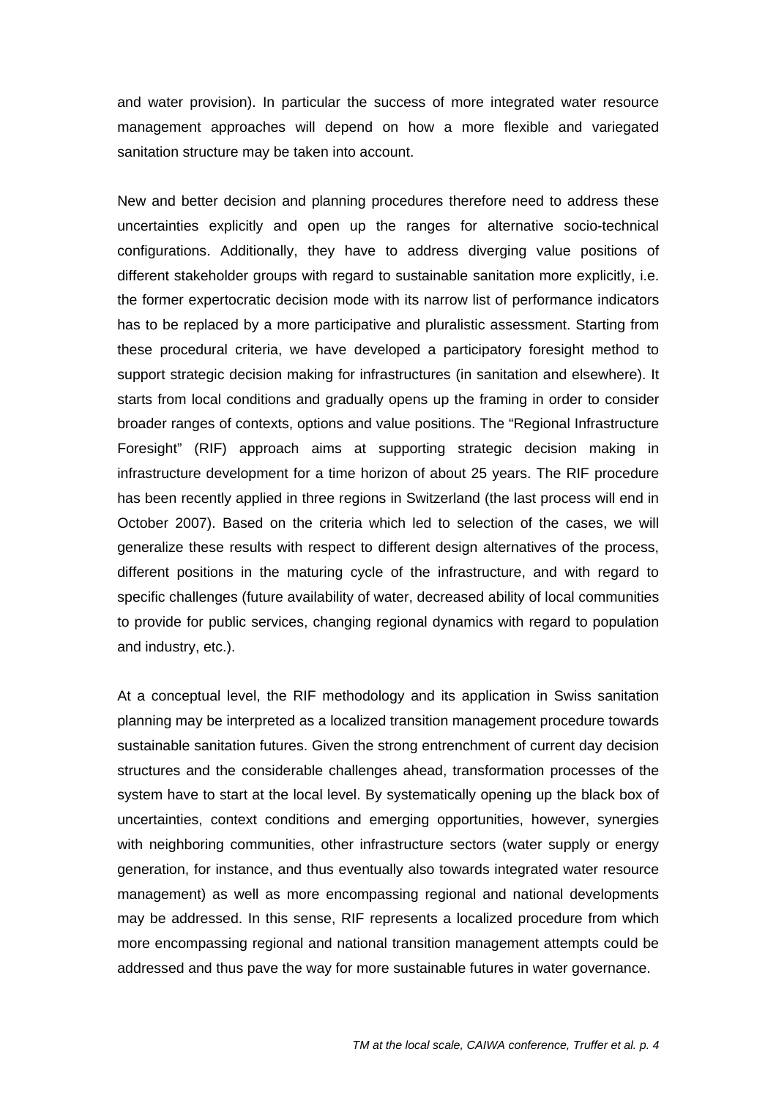and water provision). In particular the success of more integrated water resource management approaches will depend on how a more flexible and variegated sanitation structure may be taken into account.

New and better decision and planning procedures therefore need to address these uncertainties explicitly and open up the ranges for alternative socio-technical configurations. Additionally, they have to address diverging value positions of different stakeholder groups with regard to sustainable sanitation more explicitly, i.e. the former expertocratic decision mode with its narrow list of performance indicators has to be replaced by a more participative and pluralistic assessment. Starting from these procedural criteria, we have developed a participatory foresight method to support strategic decision making for infrastructures (in sanitation and elsewhere). It starts from local conditions and gradually opens up the framing in order to consider broader ranges of contexts, options and value positions. The "Regional Infrastructure Foresight" (RIF) approach aims at supporting strategic decision making in infrastructure development for a time horizon of about 25 years. The RIF procedure has been recently applied in three regions in Switzerland (the last process will end in October 2007). Based on the criteria which led to selection of the cases, we will generalize these results with respect to different design alternatives of the process, different positions in the maturing cycle of the infrastructure, and with regard to specific challenges (future availability of water, decreased ability of local communities to provide for public services, changing regional dynamics with regard to population and industry, etc.).

At a conceptual level, the RIF methodology and its application in Swiss sanitation planning may be interpreted as a localized transition management procedure towards sustainable sanitation futures. Given the strong entrenchment of current day decision structures and the considerable challenges ahead, transformation processes of the system have to start at the local level. By systematically opening up the black box of uncertainties, context conditions and emerging opportunities, however, synergies with neighboring communities, other infrastructure sectors (water supply or energy generation, for instance, and thus eventually also towards integrated water resource management) as well as more encompassing regional and national developments may be addressed. In this sense, RIF represents a localized procedure from which more encompassing regional and national transition management attempts could be addressed and thus pave the way for more sustainable futures in water governance.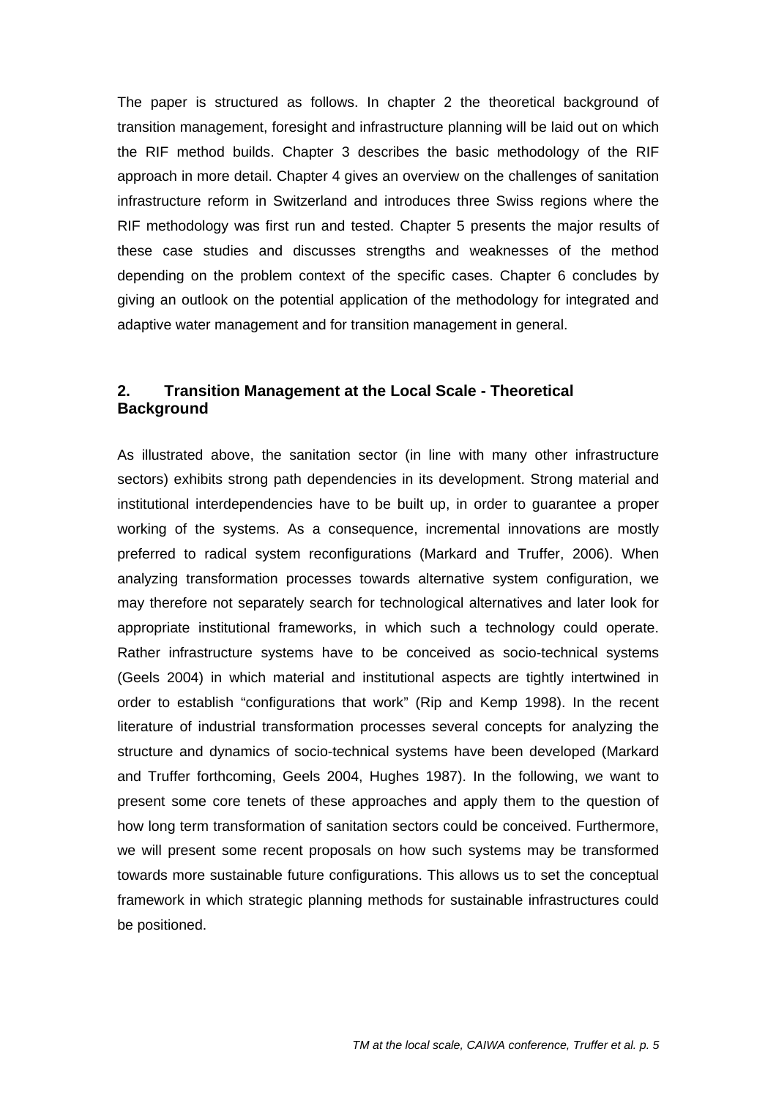<span id="page-4-0"></span>The paper is structured as follows. In chapter 2 the theoretical background of transition management, foresight and infrastructure planning will be laid out on which the RIF method builds. Chapter 3 describes the basic methodology of the RIF approach in more detail. Chapter 4 gives an overview on the challenges of sanitation infrastructure reform in Switzerland and introduces three Swiss regions where the RIF methodology was first run and tested. Chapter 5 presents the major results of these case studies and discusses strengths and weaknesses of the method depending on the problem context of the specific cases. Chapter 6 concludes by giving an outlook on the potential application of the methodology for integrated and adaptive water management and for transition management in general.

## **2. Transition Management at the Local Scale - Theoretical Background**

As illustrated above, the sanitation sector (in line with many other infrastructure sectors) exhibits strong path dependencies in its development. Strong material and institutional interdependencies have to be built up, in order to guarantee a proper working of the systems. As a consequence, incremental innovations are mostly preferred to radical system reconfigurations (Markard and Truffer, 2006). When analyzing transformation processes towards alternative system configuration, we may therefore not separately search for technological alternatives and later look for appropriate institutional frameworks, in which such a technology could operate. Rather infrastructure systems have to be conceived as socio-technical systems (Geels 2004) in which material and institutional aspects are tightly intertwined in order to establish "configurations that work" (Rip and Kemp 1998). In the recent literature of industrial transformation processes several concepts for analyzing the structure and dynamics of socio-technical systems have been developed (Markard and Truffer forthcoming, Geels 2004, Hughes 1987). In the following, we want to present some core tenets of these approaches and apply them to the question of how long term transformation of sanitation sectors could be conceived. Furthermore, we will present some recent proposals on how such systems may be transformed towards more sustainable future configurations. This allows us to set the conceptual framework in which strategic planning methods for sustainable infrastructures could be positioned.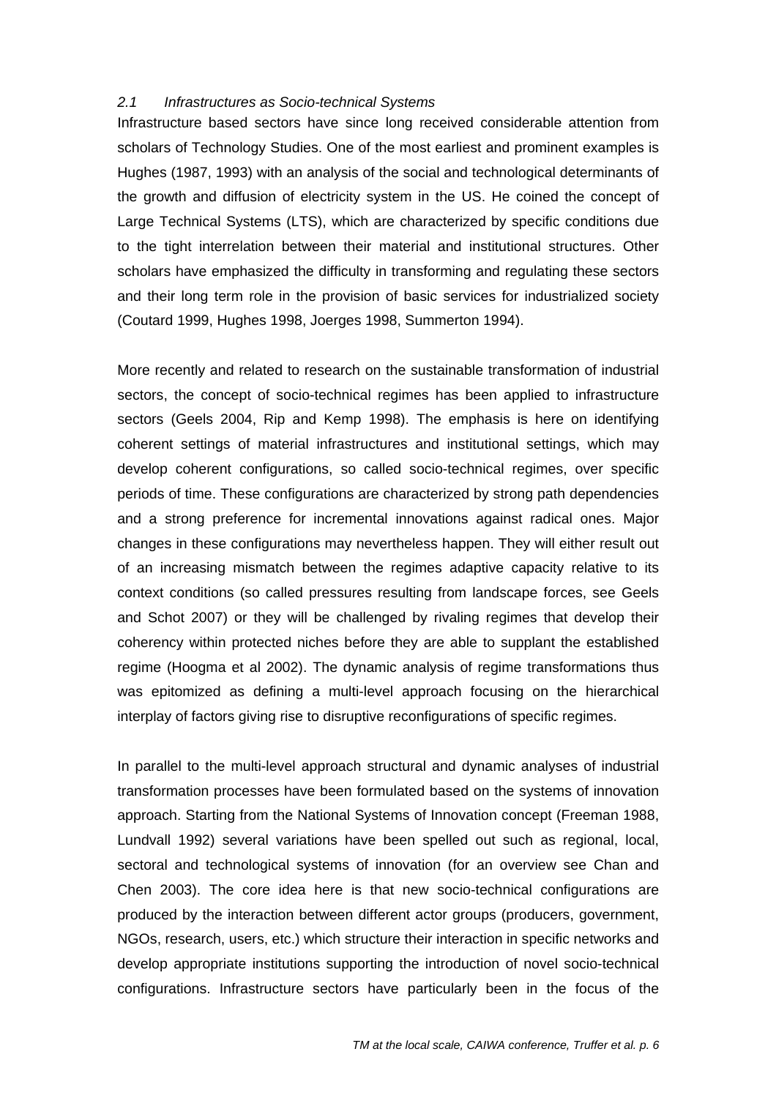### <span id="page-5-0"></span>*2.1 Infrastructures as Socio-technical Systems*

Infrastructure based sectors have since long received considerable attention from scholars of Technology Studies. One of the most earliest and prominent examples is Hughes (1987, 1993) with an analysis of the social and technological determinants of the growth and diffusion of electricity system in the US. He coined the concept of Large Technical Systems (LTS), which are characterized by specific conditions due to the tight interrelation between their material and institutional structures. Other scholars have emphasized the difficulty in transforming and regulating these sectors and their long term role in the provision of basic services for industrialized society (Coutard 1999, Hughes 1998, Joerges 1998, Summerton 1994).

More recently and related to research on the sustainable transformation of industrial sectors, the concept of socio-technical regimes has been applied to infrastructure sectors (Geels 2004, Rip and Kemp 1998). The emphasis is here on identifying coherent settings of material infrastructures and institutional settings, which may develop coherent configurations, so called socio-technical regimes, over specific periods of time. These configurations are characterized by strong path dependencies and a strong preference for incremental innovations against radical ones. Major changes in these configurations may nevertheless happen. They will either result out of an increasing mismatch between the regimes adaptive capacity relative to its context conditions (so called pressures resulting from landscape forces, see Geels and Schot 2007) or they will be challenged by rivaling regimes that develop their coherency within protected niches before they are able to supplant the established regime (Hoogma et al 2002). The dynamic analysis of regime transformations thus was epitomized as defining a multi-level approach focusing on the hierarchical interplay of factors giving rise to disruptive reconfigurations of specific regimes.

In parallel to the multi-level approach structural and dynamic analyses of industrial transformation processes have been formulated based on the systems of innovation approach. Starting from the National Systems of Innovation concept (Freeman 1988, Lundvall 1992) several variations have been spelled out such as regional, local, sectoral and technological systems of innovation (for an overview see Chan and Chen 2003). The core idea here is that new socio-technical configurations are produced by the interaction between different actor groups (producers, government, NGOs, research, users, etc.) which structure their interaction in specific networks and develop appropriate institutions supporting the introduction of novel socio-technical configurations. Infrastructure sectors have particularly been in the focus of the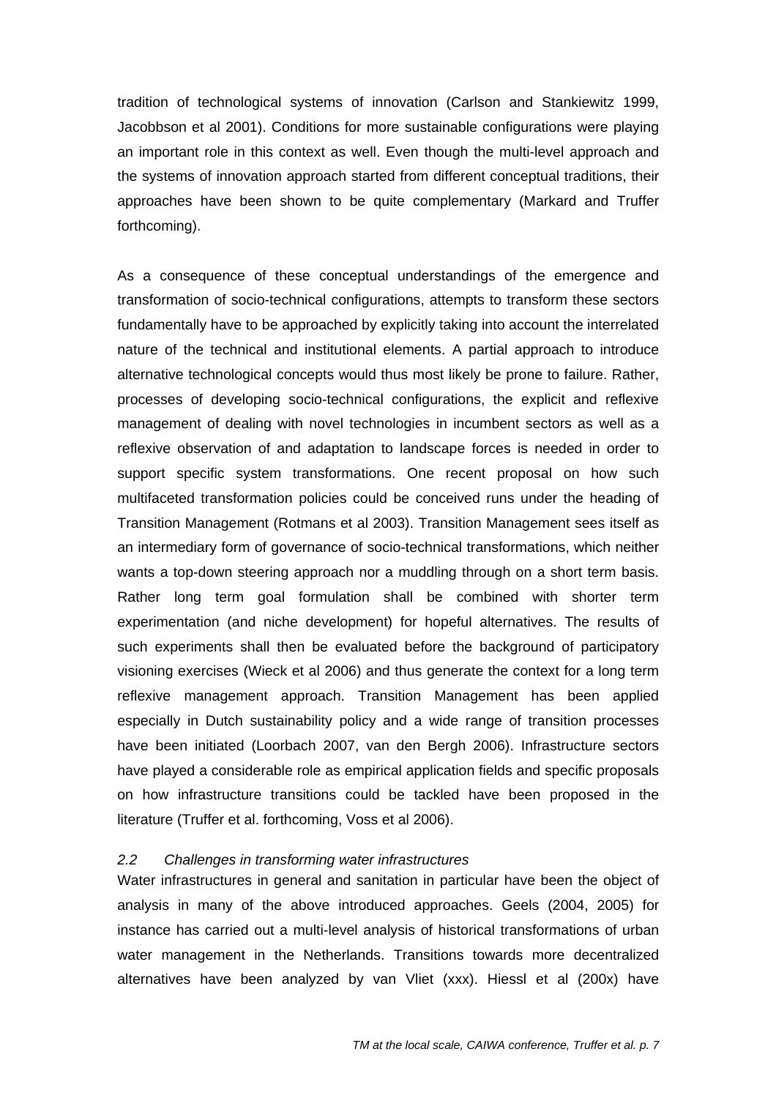<span id="page-6-0"></span>tradition of technological systems of innovation (Carlson and Stankiewitz 1999, Jacobbson et al 2001). Conditions for more sustainable configurations were playing an important role in this context as well. Even though the multi-level approach and the systems of innovation approach started from different conceptual traditions, their approaches have been shown to be quite complementary (Markard and Truffer forthcoming).

As a consequence of these conceptual understandings of the emergence and transformation of socio-technical configurations, attempts to transform these sectors fundamentally have to be approached by explicitly taking into account the interrelated nature of the technical and institutional elements. A partial approach to introduce alternative technological concepts would thus most likely be prone to failure. Rather, processes of developing socio-technical configurations, the explicit and reflexive management of dealing with novel technologies in incumbent sectors as well as a reflexive observation of and adaptation to landscape forces is needed in order to support specific system transformations. One recent proposal on how such multifaceted transformation policies could be conceived runs under the heading of Transition Management (Rotmans et al 2003). Transition Management sees itself as an intermediary form of governance of socio-technical transformations, which neither wants a top-down steering approach nor a muddling through on a short term basis. Rather long term goal formulation shall be combined with shorter term experimentation (and niche development) for hopeful alternatives. The results of such experiments shall then be evaluated before the background of participatory visioning exercises (Wieck et al 2006) and thus generate the context for a long term reflexive management approach. Transition Management has been applied especially in Dutch sustainability policy and a wide range of transition processes have been initiated (Loorbach 2007, van den Bergh 2006). Infrastructure sectors have played a considerable role as empirical application fields and specific proposals on how infrastructure transitions could be tackled have been proposed in the literature (Truffer et al. forthcoming, Voss et al 2006).

### *2.2 Challenges in transforming water infrastructures*

Water infrastructures in general and sanitation in particular have been the object of analysis in many of the above introduced approaches. Geels (2004, 2005) for instance has carried out a multi-level analysis of historical transformations of urban water management in the Netherlands. Transitions towards more decentralized alternatives have been analyzed by van Vliet (xxx). Hiessl et al (200x) have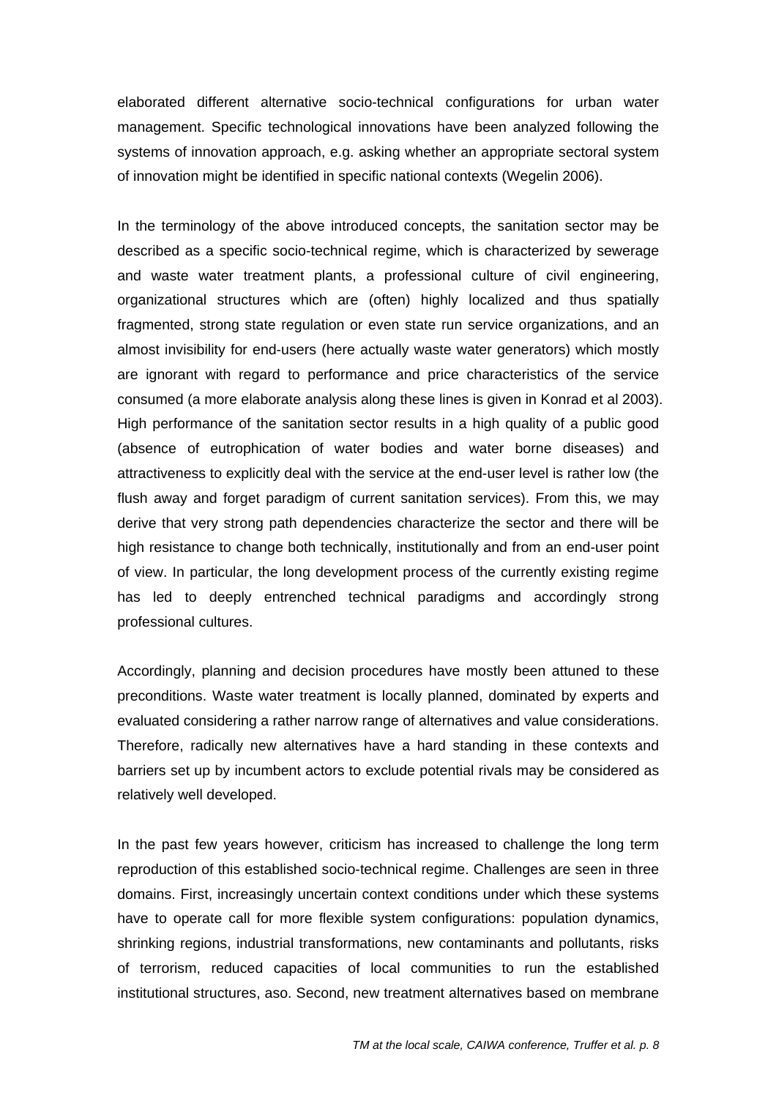elaborated different alternative socio-technical configurations for urban water management. Specific technological innovations have been analyzed following the systems of innovation approach, e.g. asking whether an appropriate sectoral system of innovation might be identified in specific national contexts (Wegelin 2006).

In the terminology of the above introduced concepts, the sanitation sector may be described as a specific socio-technical regime, which is characterized by sewerage and waste water treatment plants, a professional culture of civil engineering, organizational structures which are (often) highly localized and thus spatially fragmented, strong state regulation or even state run service organizations, and an almost invisibility for end-users (here actually waste water generators) which mostly are ignorant with regard to performance and price characteristics of the service consumed (a more elaborate analysis along these lines is given in Konrad et al 2003). High performance of the sanitation sector results in a high quality of a public good (absence of eutrophication of water bodies and water borne diseases) and attractiveness to explicitly deal with the service at the end-user level is rather low (the flush away and forget paradigm of current sanitation services). From this, we may derive that very strong path dependencies characterize the sector and there will be high resistance to change both technically, institutionally and from an end-user point of view. In particular, the long development process of the currently existing regime has led to deeply entrenched technical paradigms and accordingly strong professional cultures.

Accordingly, planning and decision procedures have mostly been attuned to these preconditions. Waste water treatment is locally planned, dominated by experts and evaluated considering a rather narrow range of alternatives and value considerations. Therefore, radically new alternatives have a hard standing in these contexts and barriers set up by incumbent actors to exclude potential rivals may be considered as relatively well developed.

In the past few years however, criticism has increased to challenge the long term reproduction of this established socio-technical regime. Challenges are seen in three domains. First, increasingly uncertain context conditions under which these systems have to operate call for more flexible system configurations: population dynamics, shrinking regions, industrial transformations, new contaminants and pollutants, risks of terrorism, reduced capacities of local communities to run the established institutional structures, aso. Second, new treatment alternatives based on membrane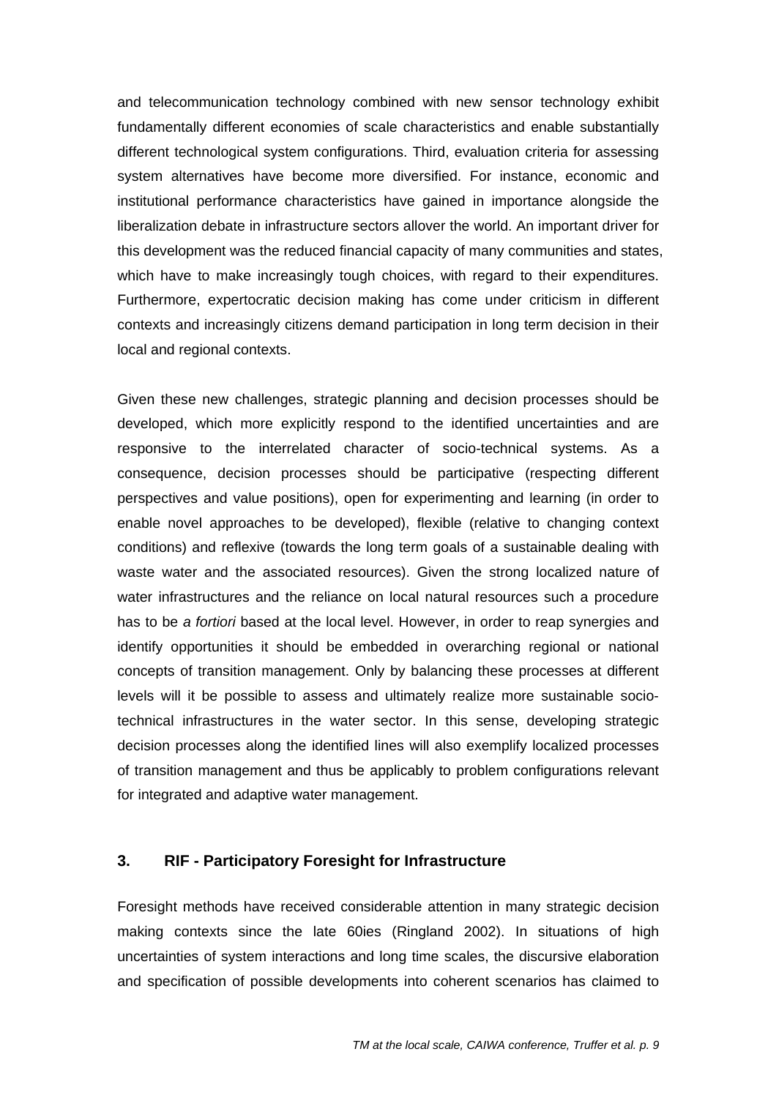<span id="page-8-0"></span>and telecommunication technology combined with new sensor technology exhibit fundamentally different economies of scale characteristics and enable substantially different technological system configurations. Third, evaluation criteria for assessing system alternatives have become more diversified. For instance, economic and institutional performance characteristics have gained in importance alongside the liberalization debate in infrastructure sectors allover the world. An important driver for this development was the reduced financial capacity of many communities and states, which have to make increasingly tough choices, with regard to their expenditures. Furthermore, expertocratic decision making has come under criticism in different contexts and increasingly citizens demand participation in long term decision in their local and regional contexts.

Given these new challenges, strategic planning and decision processes should be developed, which more explicitly respond to the identified uncertainties and are responsive to the interrelated character of socio-technical systems. As a consequence, decision processes should be participative (respecting different perspectives and value positions), open for experimenting and learning (in order to enable novel approaches to be developed), flexible (relative to changing context conditions) and reflexive (towards the long term goals of a sustainable dealing with waste water and the associated resources). Given the strong localized nature of water infrastructures and the reliance on local natural resources such a procedure has to be *a fortiori* based at the local level. However, in order to reap synergies and identify opportunities it should be embedded in overarching regional or national concepts of transition management. Only by balancing these processes at different levels will it be possible to assess and ultimately realize more sustainable sociotechnical infrastructures in the water sector. In this sense, developing strategic decision processes along the identified lines will also exemplify localized processes of transition management and thus be applicably to problem configurations relevant for integrated and adaptive water management.

### **3. RIF - Participatory Foresight for Infrastructure**

Foresight methods have received considerable attention in many strategic decision making contexts since the late 60ies (Ringland 2002). In situations of high uncertainties of system interactions and long time scales, the discursive elaboration and specification of possible developments into coherent scenarios has claimed to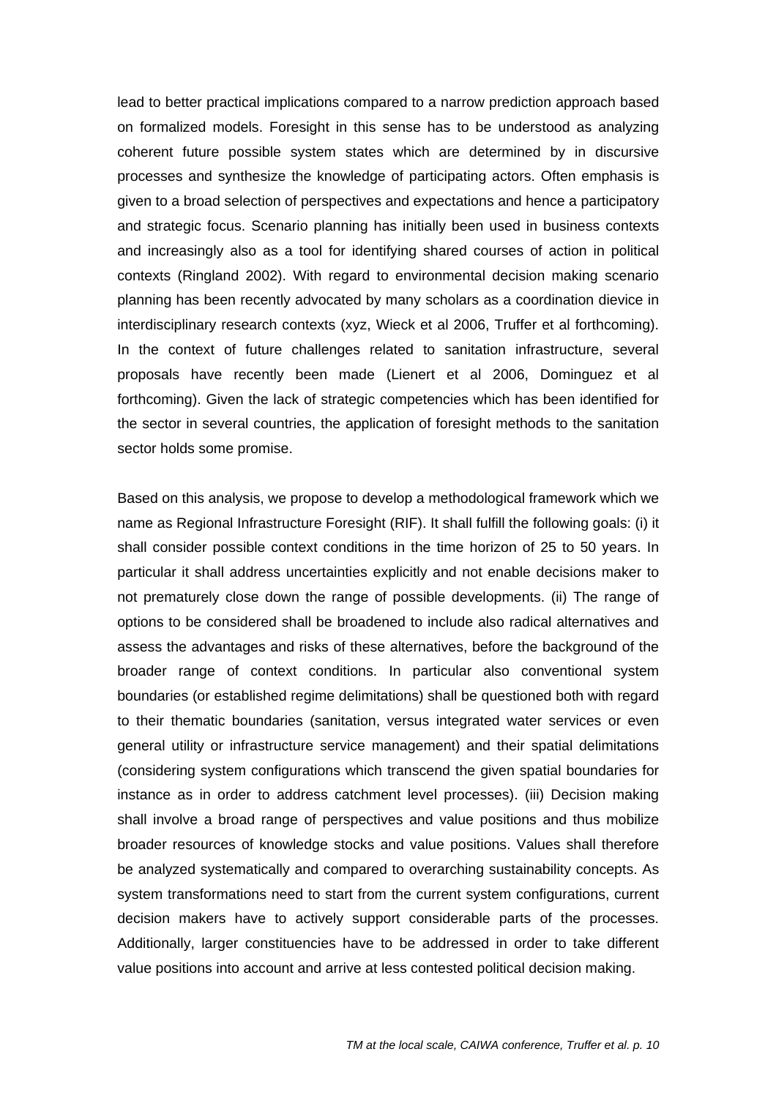lead to better practical implications compared to a narrow prediction approach based on formalized models. Foresight in this sense has to be understood as analyzing coherent future possible system states which are determined by in discursive processes and synthesize the knowledge of participating actors. Often emphasis is given to a broad selection of perspectives and expectations and hence a participatory and strategic focus. Scenario planning has initially been used in business contexts and increasingly also as a tool for identifying shared courses of action in political contexts (Ringland 2002). With regard to environmental decision making scenario planning has been recently advocated by many scholars as a coordination dievice in interdisciplinary research contexts (xyz, Wieck et al 2006, Truffer et al forthcoming). In the context of future challenges related to sanitation infrastructure, several proposals have recently been made (Lienert et al 2006, Dominguez et al forthcoming). Given the lack of strategic competencies which has been identified for the sector in several countries, the application of foresight methods to the sanitation sector holds some promise.

Based on this analysis, we propose to develop a methodological framework which we name as Regional Infrastructure Foresight (RIF). It shall fulfill the following goals: (i) it shall consider possible context conditions in the time horizon of 25 to 50 years. In particular it shall address uncertainties explicitly and not enable decisions maker to not prematurely close down the range of possible developments. (ii) The range of options to be considered shall be broadened to include also radical alternatives and assess the advantages and risks of these alternatives, before the background of the broader range of context conditions. In particular also conventional system boundaries (or established regime delimitations) shall be questioned both with regard to their thematic boundaries (sanitation, versus integrated water services or even general utility or infrastructure service management) and their spatial delimitations (considering system configurations which transcend the given spatial boundaries for instance as in order to address catchment level processes). (iii) Decision making shall involve a broad range of perspectives and value positions and thus mobilize broader resources of knowledge stocks and value positions. Values shall therefore be analyzed systematically and compared to overarching sustainability concepts. As system transformations need to start from the current system configurations, current decision makers have to actively support considerable parts of the processes. Additionally, larger constituencies have to be addressed in order to take different value positions into account and arrive at less contested political decision making.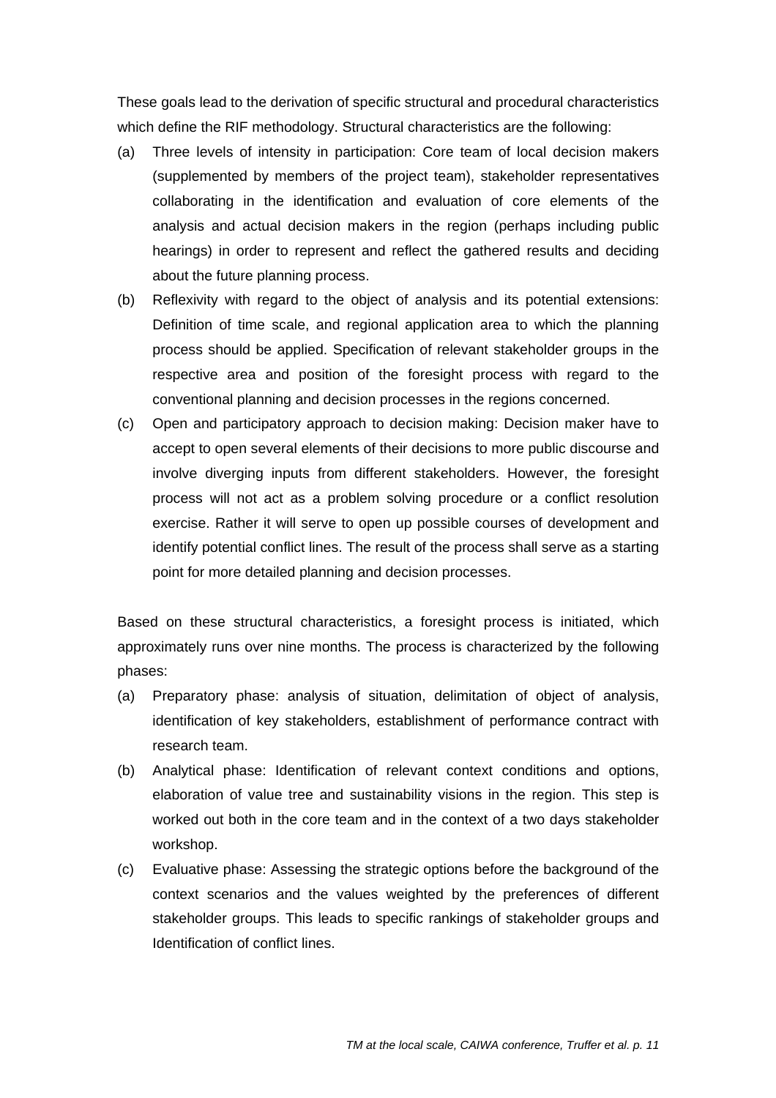These goals lead to the derivation of specific structural and procedural characteristics which define the RIF methodology. Structural characteristics are the following:

- (a) Three levels of intensity in participation: Core team of local decision makers (supplemented by members of the project team), stakeholder representatives collaborating in the identification and evaluation of core elements of the analysis and actual decision makers in the region (perhaps including public hearings) in order to represent and reflect the gathered results and deciding about the future planning process.
- (b) Reflexivity with regard to the object of analysis and its potential extensions: Definition of time scale, and regional application area to which the planning process should be applied. Specification of relevant stakeholder groups in the respective area and position of the foresight process with regard to the conventional planning and decision processes in the regions concerned.
- (c) Open and participatory approach to decision making: Decision maker have to accept to open several elements of their decisions to more public discourse and involve diverging inputs from different stakeholders. However, the foresight process will not act as a problem solving procedure or a conflict resolution exercise. Rather it will serve to open up possible courses of development and identify potential conflict lines. The result of the process shall serve as a starting point for more detailed planning and decision processes.

Based on these structural characteristics, a foresight process is initiated, which approximately runs over nine months. The process is characterized by the following phases:

- (a) Preparatory phase: analysis of situation, delimitation of object of analysis, identification of key stakeholders, establishment of performance contract with research team.
- (b) Analytical phase: Identification of relevant context conditions and options, elaboration of value tree and sustainability visions in the region. This step is worked out both in the core team and in the context of a two days stakeholder workshop.
- (c) Evaluative phase: Assessing the strategic options before the background of the context scenarios and the values weighted by the preferences of different stakeholder groups. This leads to specific rankings of stakeholder groups and Identification of conflict lines.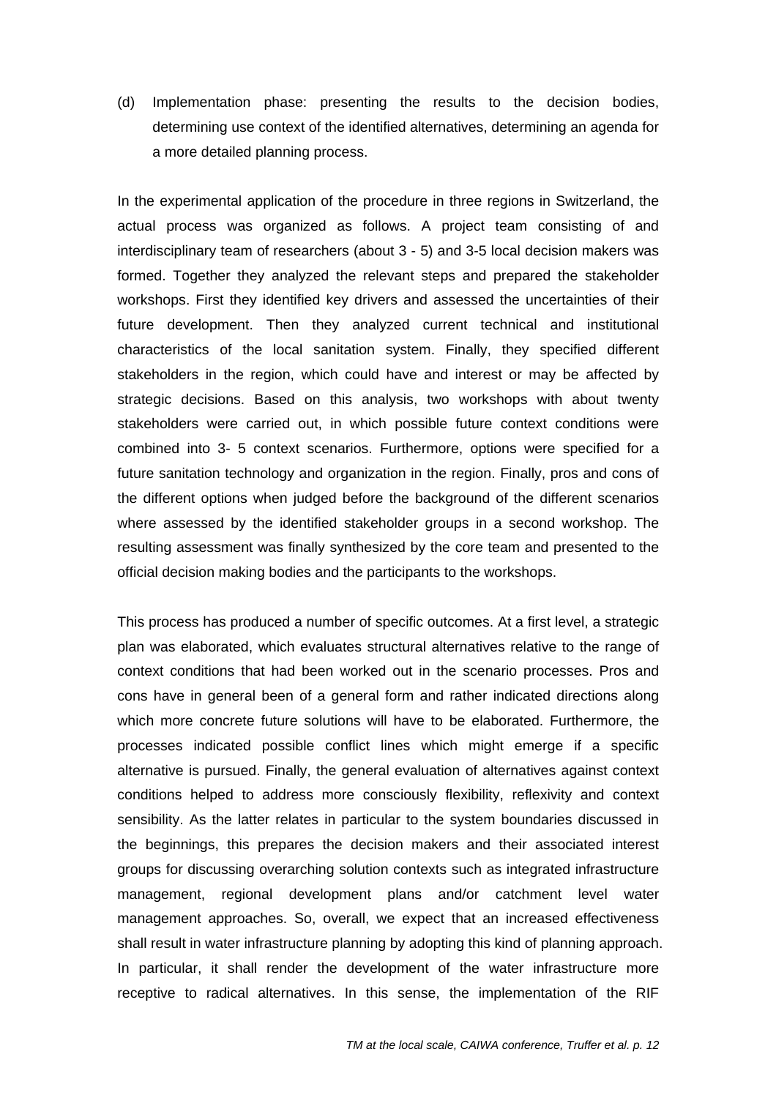(d) Implementation phase: presenting the results to the decision bodies, determining use context of the identified alternatives, determining an agenda for a more detailed planning process.

In the experimental application of the procedure in three regions in Switzerland, the actual process was organized as follows. A project team consisting of and interdisciplinary team of researchers (about 3 - 5) and 3-5 local decision makers was formed. Together they analyzed the relevant steps and prepared the stakeholder workshops. First they identified key drivers and assessed the uncertainties of their future development. Then they analyzed current technical and institutional characteristics of the local sanitation system. Finally, they specified different stakeholders in the region, which could have and interest or may be affected by strategic decisions. Based on this analysis, two workshops with about twenty stakeholders were carried out, in which possible future context conditions were combined into 3- 5 context scenarios. Furthermore, options were specified for a future sanitation technology and organization in the region. Finally, pros and cons of the different options when judged before the background of the different scenarios where assessed by the identified stakeholder groups in a second workshop. The resulting assessment was finally synthesized by the core team and presented to the official decision making bodies and the participants to the workshops.

This process has produced a number of specific outcomes. At a first level, a strategic plan was elaborated, which evaluates structural alternatives relative to the range of context conditions that had been worked out in the scenario processes. Pros and cons have in general been of a general form and rather indicated directions along which more concrete future solutions will have to be elaborated. Furthermore, the processes indicated possible conflict lines which might emerge if a specific alternative is pursued. Finally, the general evaluation of alternatives against context conditions helped to address more consciously flexibility, reflexivity and context sensibility. As the latter relates in particular to the system boundaries discussed in the beginnings, this prepares the decision makers and their associated interest groups for discussing overarching solution contexts such as integrated infrastructure management, regional development plans and/or catchment level water management approaches. So, overall, we expect that an increased effectiveness shall result in water infrastructure planning by adopting this kind of planning approach. In particular, it shall render the development of the water infrastructure more receptive to radical alternatives. In this sense, the implementation of the RIF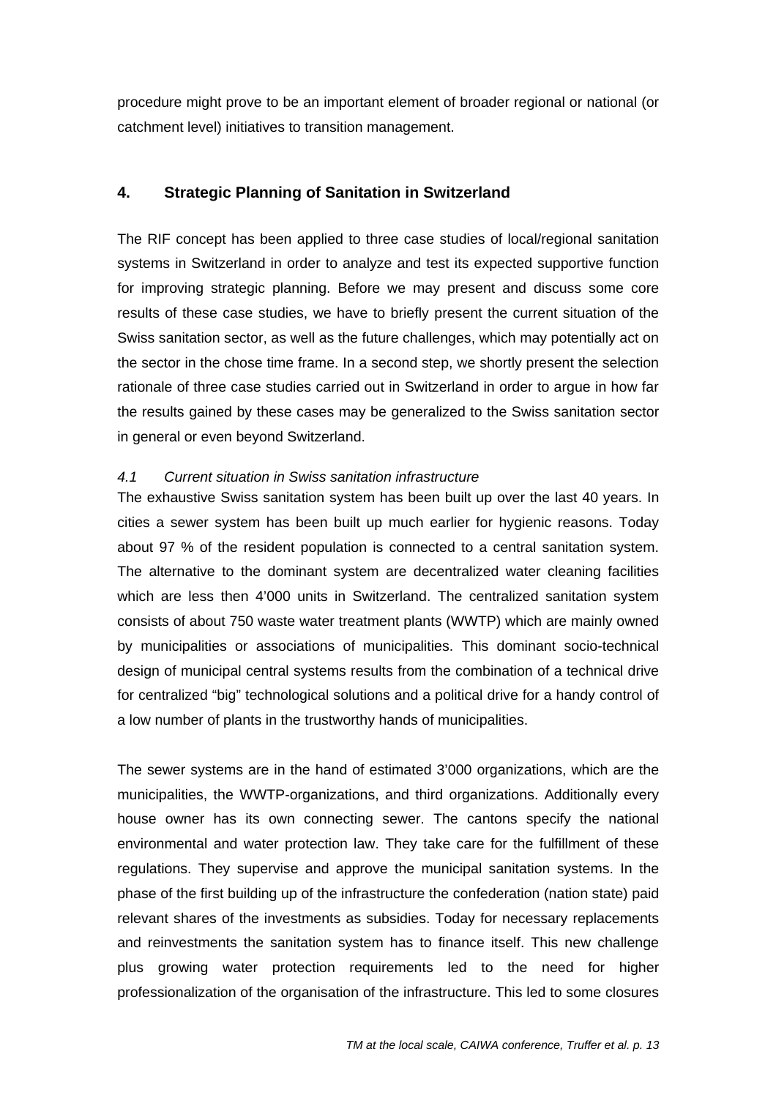<span id="page-12-0"></span>procedure might prove to be an important element of broader regional or national (or catchment level) initiatives to transition management.

## **4. Strategic Planning of Sanitation in Switzerland**

The RIF concept has been applied to three case studies of local/regional sanitation systems in Switzerland in order to analyze and test its expected supportive function for improving strategic planning. Before we may present and discuss some core results of these case studies, we have to briefly present the current situation of the Swiss sanitation sector, as well as the future challenges, which may potentially act on the sector in the chose time frame. In a second step, we shortly present the selection rationale of three case studies carried out in Switzerland in order to argue in how far the results gained by these cases may be generalized to the Swiss sanitation sector in general or even beyond Switzerland.

### *4.1 Current situation in Swiss sanitation infrastructure*

The exhaustive Swiss sanitation system has been built up over the last 40 years. In cities a sewer system has been built up much earlier for hygienic reasons. Today about 97 % of the resident population is connected to a central sanitation system. The alternative to the dominant system are decentralized water cleaning facilities which are less then 4'000 units in Switzerland. The centralized sanitation system consists of about 750 waste water treatment plants (WWTP) which are mainly owned by municipalities or associations of municipalities. This dominant socio-technical design of municipal central systems results from the combination of a technical drive for centralized "big" technological solutions and a political drive for a handy control of a low number of plants in the trustworthy hands of municipalities.

The sewer systems are in the hand of estimated 3'000 organizations, which are the municipalities, the WWTP-organizations, and third organizations. Additionally every house owner has its own connecting sewer. The cantons specify the national environmental and water protection law. They take care for the fulfillment of these regulations. They supervise and approve the municipal sanitation systems. In the phase of the first building up of the infrastructure the confederation (nation state) paid relevant shares of the investments as subsidies. Today for necessary replacements and reinvestments the sanitation system has to finance itself. This new challenge plus growing water protection requirements led to the need for higher professionalization of the organisation of the infrastructure. This led to some closures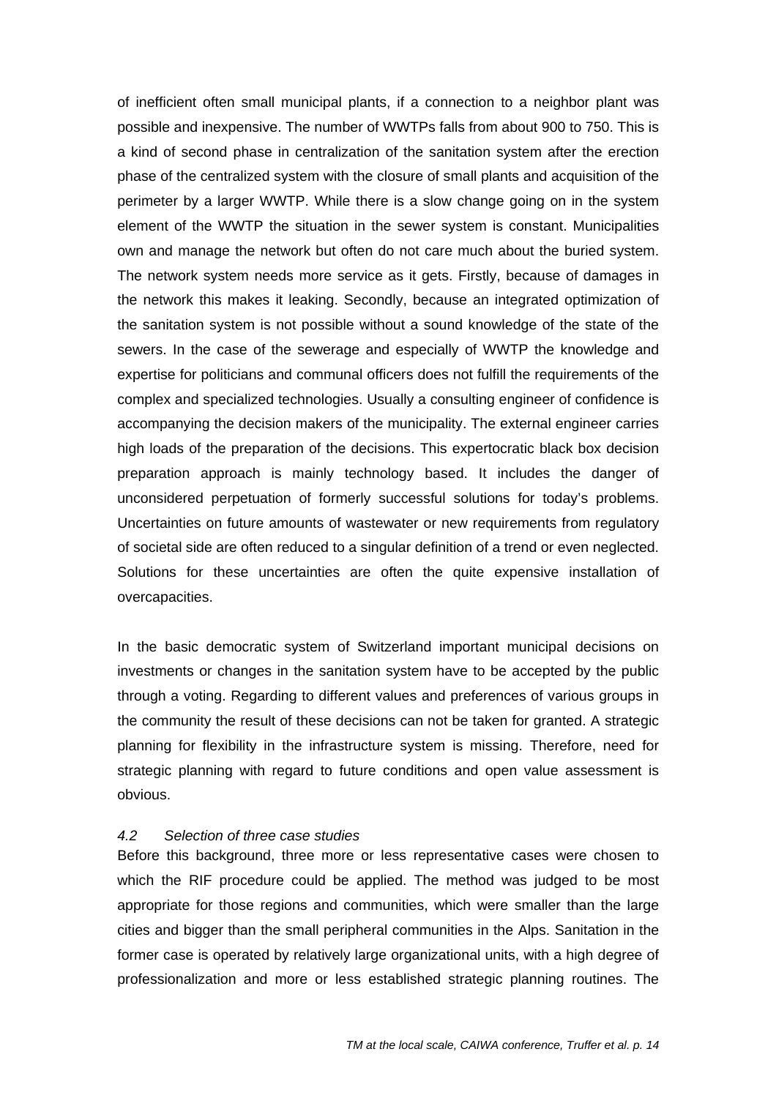<span id="page-13-0"></span>of inefficient often small municipal plants, if a connection to a neighbor plant was possible and inexpensive. The number of WWTPs falls from about 900 to 750. This is a kind of second phase in centralization of the sanitation system after the erection phase of the centralized system with the closure of small plants and acquisition of the perimeter by a larger WWTP. While there is a slow change going on in the system element of the WWTP the situation in the sewer system is constant. Municipalities own and manage the network but often do not care much about the buried system. The network system needs more service as it gets. Firstly, because of damages in the network this makes it leaking. Secondly, because an integrated optimization of the sanitation system is not possible without a sound knowledge of the state of the sewers. In the case of the sewerage and especially of WWTP the knowledge and expertise for politicians and communal officers does not fulfill the requirements of the complex and specialized technologies. Usually a consulting engineer of confidence is accompanying the decision makers of the municipality. The external engineer carries high loads of the preparation of the decisions. This expertocratic black box decision preparation approach is mainly technology based. It includes the danger of unconsidered perpetuation of formerly successful solutions for today's problems. Uncertainties on future amounts of wastewater or new requirements from regulatory of societal side are often reduced to a singular definition of a trend or even neglected. Solutions for these uncertainties are often the quite expensive installation of overcapacities.

In the basic democratic system of Switzerland important municipal decisions on investments or changes in the sanitation system have to be accepted by the public through a voting. Regarding to different values and preferences of various groups in the community the result of these decisions can not be taken for granted. A strategic planning for flexibility in the infrastructure system is missing. Therefore, need for strategic planning with regard to future conditions and open value assessment is obvious.

### *4.2 Selection of three case studies*

Before this background, three more or less representative cases were chosen to which the RIF procedure could be applied. The method was judged to be most appropriate for those regions and communities, which were smaller than the large cities and bigger than the small peripheral communities in the Alps. Sanitation in the former case is operated by relatively large organizational units, with a high degree of professionalization and more or less established strategic planning routines. The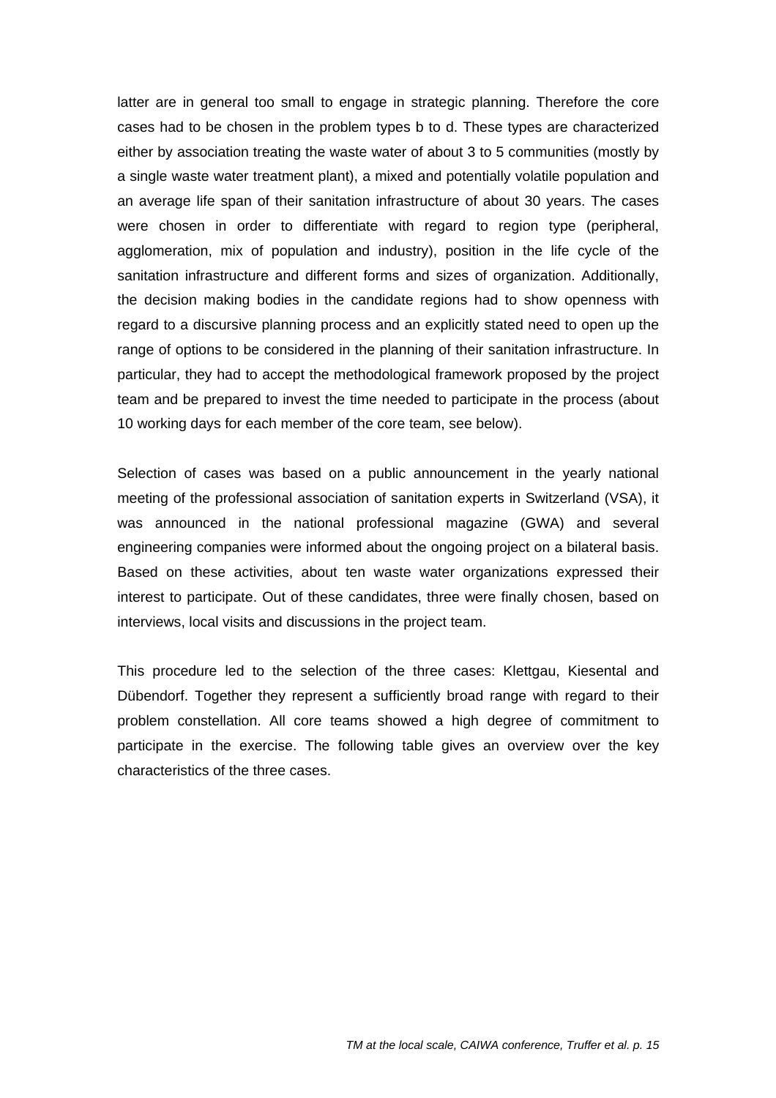latter are in general too small to engage in strategic planning. Therefore the core cases had to be chosen in the problem types b to d. These types are characterized either by association treating the waste water of about 3 to 5 communities (mostly by a single waste water treatment plant), a mixed and potentially volatile population and an average life span of their sanitation infrastructure of about 30 years. The cases were chosen in order to differentiate with regard to region type (peripheral, agglomeration, mix of population and industry), position in the life cycle of the sanitation infrastructure and different forms and sizes of organization. Additionally, the decision making bodies in the candidate regions had to show openness with regard to a discursive planning process and an explicitly stated need to open up the range of options to be considered in the planning of their sanitation infrastructure. In particular, they had to accept the methodological framework proposed by the project team and be prepared to invest the time needed to participate in the process (about 10 working days for each member of the core team, see below).

Selection of cases was based on a public announcement in the yearly national meeting of the professional association of sanitation experts in Switzerland (VSA), it was announced in the national professional magazine (GWA) and several engineering companies were informed about the ongoing project on a bilateral basis. Based on these activities, about ten waste water organizations expressed their interest to participate. Out of these candidates, three were finally chosen, based on interviews, local visits and discussions in the project team.

This procedure led to the selection of the three cases: Klettgau, Kiesental and Dübendorf. Together they represent a sufficiently broad range with regard to their problem constellation. All core teams showed a high degree of commitment to participate in the exercise. The following table gives an overview over the key characteristics of the three cases.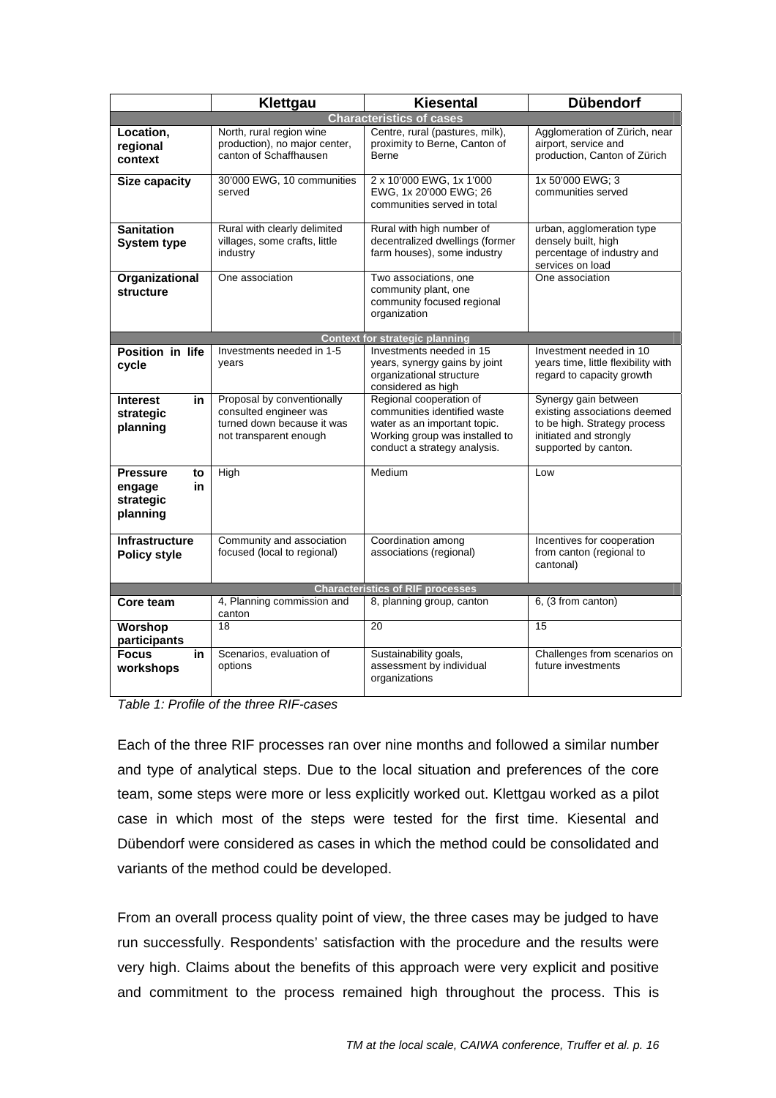|                                                                | Klettgau                                                                                                     | <b>Kiesental</b>                                                                                                                                          | <b>Dübendorf</b>                                                                                                                       |  |  |  |  |  |
|----------------------------------------------------------------|--------------------------------------------------------------------------------------------------------------|-----------------------------------------------------------------------------------------------------------------------------------------------------------|----------------------------------------------------------------------------------------------------------------------------------------|--|--|--|--|--|
|                                                                |                                                                                                              | <b>Characteristics of cases</b>                                                                                                                           |                                                                                                                                        |  |  |  |  |  |
| Location,<br>regional<br>context                               | North, rural region wine<br>production), no major center,<br>canton of Schaffhausen                          | Centre, rural (pastures, milk),<br>proximity to Berne, Canton of<br>Berne                                                                                 | Agglomeration of Zürich, near<br>airport, service and<br>production, Canton of Zürich                                                  |  |  |  |  |  |
| <b>Size capacity</b>                                           | 30'000 EWG, 10 communities<br>served                                                                         | 2 x 10'000 EWG, 1x 1'000<br>EWG, 1x 20'000 EWG; 26<br>communities served in total                                                                         | 1x 50'000 EWG; 3<br>communities served                                                                                                 |  |  |  |  |  |
| <b>Sanitation</b><br><b>System type</b>                        | Rural with clearly delimited<br>villages, some crafts, little<br>industry                                    | Rural with high number of<br>decentralized dwellings (former<br>farm houses), some industry                                                               | urban, agglomeration type<br>densely built, high<br>percentage of industry and<br>services on load                                     |  |  |  |  |  |
| Organizational<br>structure                                    | One association                                                                                              | Two associations, one<br>community plant, one<br>community focused regional<br>organization                                                               | One association                                                                                                                        |  |  |  |  |  |
|                                                                |                                                                                                              | <b>Context for strategic planning</b>                                                                                                                     |                                                                                                                                        |  |  |  |  |  |
| Position in life<br>cycle                                      | Investments needed in 1-5<br>vears                                                                           | Investments needed in 15<br>years, synergy gains by joint<br>organizational structure<br>considered as high                                               | Investment needed in 10<br>years time, little flexibility with<br>regard to capacity growth                                            |  |  |  |  |  |
| <b>Interest</b><br>in<br>strategic<br>planning                 | Proposal by conventionally<br>consulted engineer was<br>turned down because it was<br>not transparent enough | Regional cooperation of<br>communities identified waste<br>water as an important topic.<br>Working group was installed to<br>conduct a strategy analysis. | Synergy gain between<br>existing associations deemed<br>to be high. Strategy process<br>initiated and strongly<br>supported by canton. |  |  |  |  |  |
| <b>Pressure</b><br>to<br>in<br>engage<br>strategic<br>planning | High                                                                                                         | Medium                                                                                                                                                    | Low                                                                                                                                    |  |  |  |  |  |
| <b>Infrastructure</b><br><b>Policy style</b>                   | Community and association<br>focused (local to regional)                                                     | Coordination among<br>associations (regional)                                                                                                             | Incentives for cooperation<br>from canton (regional to<br>cantonal)                                                                    |  |  |  |  |  |
| <b>Characteristics of RIF processes</b>                        |                                                                                                              |                                                                                                                                                           |                                                                                                                                        |  |  |  |  |  |
| Core team                                                      | 4, Planning commission and<br>canton                                                                         | 8, planning group, canton                                                                                                                                 | 6, (3 from canton)                                                                                                                     |  |  |  |  |  |
| Worshop<br>participants                                        | 18                                                                                                           | 20                                                                                                                                                        | 15                                                                                                                                     |  |  |  |  |  |
| <b>Focus</b><br>in<br>workshops                                | Scenarios, evaluation of<br>options                                                                          | Sustainability goals,<br>assessment by individual<br>organizations                                                                                        | Challenges from scenarios on<br>future investments                                                                                     |  |  |  |  |  |

*Table 1: Profile of the three RIF-cases* 

Each of the three RIF processes ran over nine months and followed a similar number and type of analytical steps. Due to the local situation and preferences of the core team, some steps were more or less explicitly worked out. Klettgau worked as a pilot case in which most of the steps were tested for the first time. Kiesental and Dübendorf were considered as cases in which the method could be consolidated and variants of the method could be developed.

From an overall process quality point of view, the three cases may be judged to have run successfully. Respondents' satisfaction with the procedure and the results were very high. Claims about the benefits of this approach were very explicit and positive and commitment to the process remained high throughout the process. This is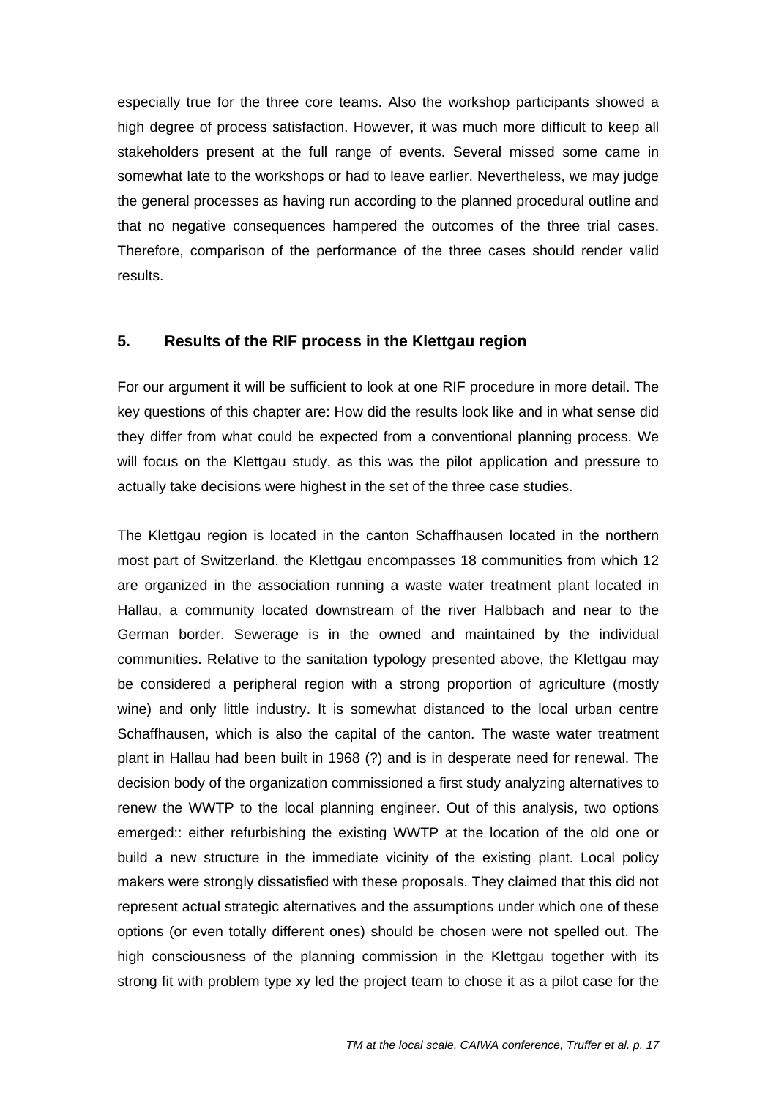<span id="page-16-0"></span>especially true for the three core teams. Also the workshop participants showed a high degree of process satisfaction. However, it was much more difficult to keep all stakeholders present at the full range of events. Several missed some came in somewhat late to the workshops or had to leave earlier. Nevertheless, we may judge the general processes as having run according to the planned procedural outline and that no negative consequences hampered the outcomes of the three trial cases. Therefore, comparison of the performance of the three cases should render valid results.

### **5. Results of the RIF process in the Klettgau region**

For our argument it will be sufficient to look at one RIF procedure in more detail. The key questions of this chapter are: How did the results look like and in what sense did they differ from what could be expected from a conventional planning process. We will focus on the Klettgau study, as this was the pilot application and pressure to actually take decisions were highest in the set of the three case studies.

The Klettgau region is located in the canton Schaffhausen located in the northern most part of Switzerland. the Klettgau encompasses 18 communities from which 12 are organized in the association running a waste water treatment plant located in Hallau, a community located downstream of the river Halbbach and near to the German border. Sewerage is in the owned and maintained by the individual communities. Relative to the sanitation typology presented above, the Klettgau may be considered a peripheral region with a strong proportion of agriculture (mostly wine) and only little industry. It is somewhat distanced to the local urban centre Schaffhausen, which is also the capital of the canton. The waste water treatment plant in Hallau had been built in 1968 (?) and is in desperate need for renewal. The decision body of the organization commissioned a first study analyzing alternatives to renew the WWTP to the local planning engineer. Out of this analysis, two options emerged:: either refurbishing the existing WWTP at the location of the old one or build a new structure in the immediate vicinity of the existing plant. Local policy makers were strongly dissatisfied with these proposals. They claimed that this did not represent actual strategic alternatives and the assumptions under which one of these options (or even totally different ones) should be chosen were not spelled out. The high consciousness of the planning commission in the Klettgau together with its strong fit with problem type xy led the project team to chose it as a pilot case for the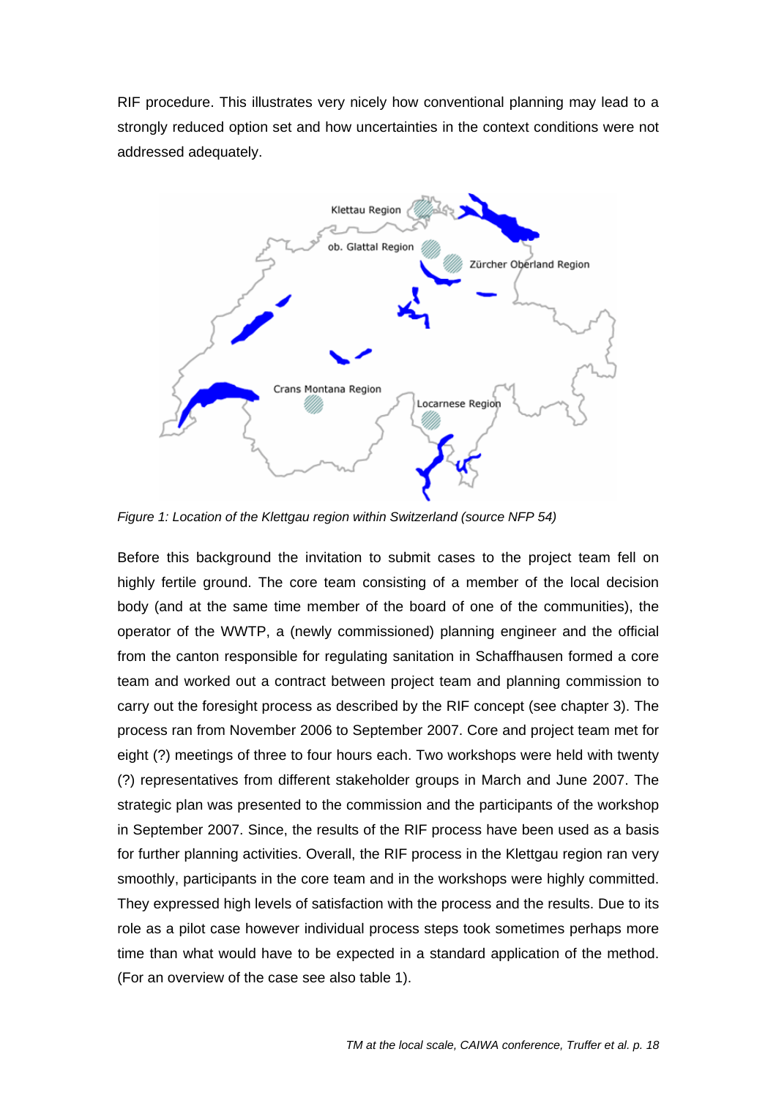RIF procedure. This illustrates very nicely how conventional planning may lead to a strongly reduced option set and how uncertainties in the context conditions were not addressed adequately.



*Figure 1: Location of the Klettgau region within Switzerland (source NFP 54)* 

Before this background the invitation to submit cases to the project team fell on highly fertile ground. The core team consisting of a member of the local decision body (and at the same time member of the board of one of the communities), the operator of the WWTP, a (newly commissioned) planning engineer and the official from the canton responsible for regulating sanitation in Schaffhausen formed a core team and worked out a contract between project team and planning commission to carry out the foresight process as described by the RIF concept (see chapter 3). The process ran from November 2006 to September 2007. Core and project team met for eight (?) meetings of three to four hours each. Two workshops were held with twenty (?) representatives from different stakeholder groups in March and June 2007. The strategic plan was presented to the commission and the participants of the workshop in September 2007. Since, the results of the RIF process have been used as a basis for further planning activities. Overall, the RIF process in the Klettgau region ran very smoothly, participants in the core team and in the workshops were highly committed. They expressed high levels of satisfaction with the process and the results. Due to its role as a pilot case however individual process steps took sometimes perhaps more time than what would have to be expected in a standard application of the method. (For an overview of the case see also table 1).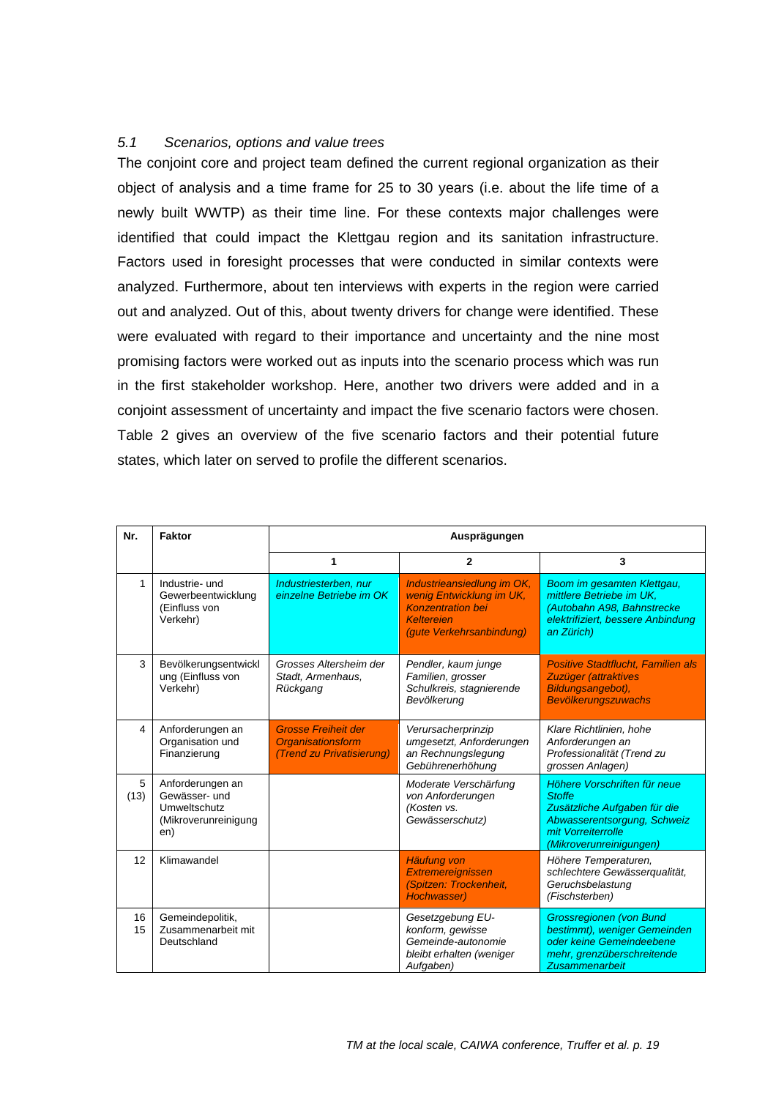### <span id="page-18-0"></span>*5.1 Scenarios, options and value trees*

The conjoint core and project team defined the current regional organization as their object of analysis and a time frame for 25 to 30 years (i.e. about the life time of a newly built WWTP) as their time line. For these contexts major challenges were identified that could impact the Klettgau region and its sanitation infrastructure. Factors used in foresight processes that were conducted in similar contexts were analyzed. Furthermore, about ten interviews with experts in the region were carried out and analyzed. Out of this, about twenty drivers for change were identified. These were evaluated with regard to their importance and uncertainty and the nine most promising factors were worked out as inputs into the scenario process which was run in the first stakeholder workshop. Here, another two drivers were added and in a conjoint assessment of uncertainty and impact the five scenario factors were chosen. Table 2 gives an overview of the five scenario factors and their potential future states, which later on served to profile the different scenarios.

| Nr.          | <b>Faktor</b>                                                                    | Ausprägungen                                                                 |                                                                                                                                     |                                                                                                                                                               |  |  |  |
|--------------|----------------------------------------------------------------------------------|------------------------------------------------------------------------------|-------------------------------------------------------------------------------------------------------------------------------------|---------------------------------------------------------------------------------------------------------------------------------------------------------------|--|--|--|
|              |                                                                                  | 1                                                                            | $\mathbf{2}$                                                                                                                        | 3                                                                                                                                                             |  |  |  |
| $\mathbf{1}$ | Industrie- und<br>Gewerbeentwicklung<br>(Einfluss von<br>Verkehr)                | Industriesterben, nur<br>einzelne Betriebe im OK                             | Industrieansiedlung im OK,<br>wenig Entwicklung im UK.<br><b>Konzentration bei</b><br><b>Keltereien</b><br>(gute Verkehrsanbindung) | Boom im gesamten Klettgau,<br>mittlere Betriebe im UK.<br>(Autobahn A98, Bahnstrecke<br>elektrifiziert, bessere Anbindung<br>an Zürich)                       |  |  |  |
| 3            | Bevölkerungsentwickl<br>ung (Einfluss von<br>Verkehr)                            | Grosses Altersheim der<br>Stadt, Armenhaus,<br>Rückgang                      | Pendler, kaum junge<br>Familien, grosser<br>Schulkreis, stagnierende<br>Bevölkerung                                                 | <b>Positive Stadtflucht. Familien als</b><br>Zuzüger (attraktives<br>Bildungsangebot),<br><b>Bevölkerungszuwachs</b>                                          |  |  |  |
| 4            | Anforderungen an<br>Organisation und<br>Finanzierung                             | <b>Grosse Freiheit der</b><br>Organisationsform<br>(Trend zu Privatisierung) | Verursacherprinzip<br>umgesetzt, Anforderungen<br>an Rechnungslegung<br>Gebührenerhöhung                                            | Klare Richtlinien, hohe<br>Anforderungen an<br>Professionalität (Trend zu<br>grossen Anlagen)                                                                 |  |  |  |
| 5<br>(13)    | Anforderungen an<br>Gewässer- und<br>Umweltschutz<br>(Mikroverunreinigung<br>en) |                                                                              | Moderate Verschärfung<br>von Anforderungen<br>(Kosten vs.<br>Gewässerschutz)                                                        | Höhere Vorschriften für neue<br><b>Stoffe</b><br>Zusätzliche Aufgaben für die<br>Abwasserentsorgung, Schweiz<br>mit Vorreiterrolle<br>(Mikroverunreinigungen) |  |  |  |
| 12           | Klimawandel                                                                      |                                                                              | Häufung von<br><b>Extremereignissen</b><br>(Spitzen: Trockenheit,<br>Hochwasser)                                                    | Höhere Temperaturen,<br>schlechtere Gewässerqualität,<br>Geruchsbelastung<br>(Fischsterben)                                                                   |  |  |  |
| 16<br>15     | Gemeindepolitik,<br>Zusammenarbeit mit<br>Deutschland                            |                                                                              | Gesetzgebung EU-<br>konform, gewisse<br>Gemeinde-autonomie<br>bleibt erhalten (weniger<br>Aufgaben)                                 | <b>Grossregionen (von Bund</b><br>bestimmt), weniger Gemeinden<br>oder keine Gemeindeebene<br>mehr, grenzüberschreitende<br><b>Zusammenarbeit</b>             |  |  |  |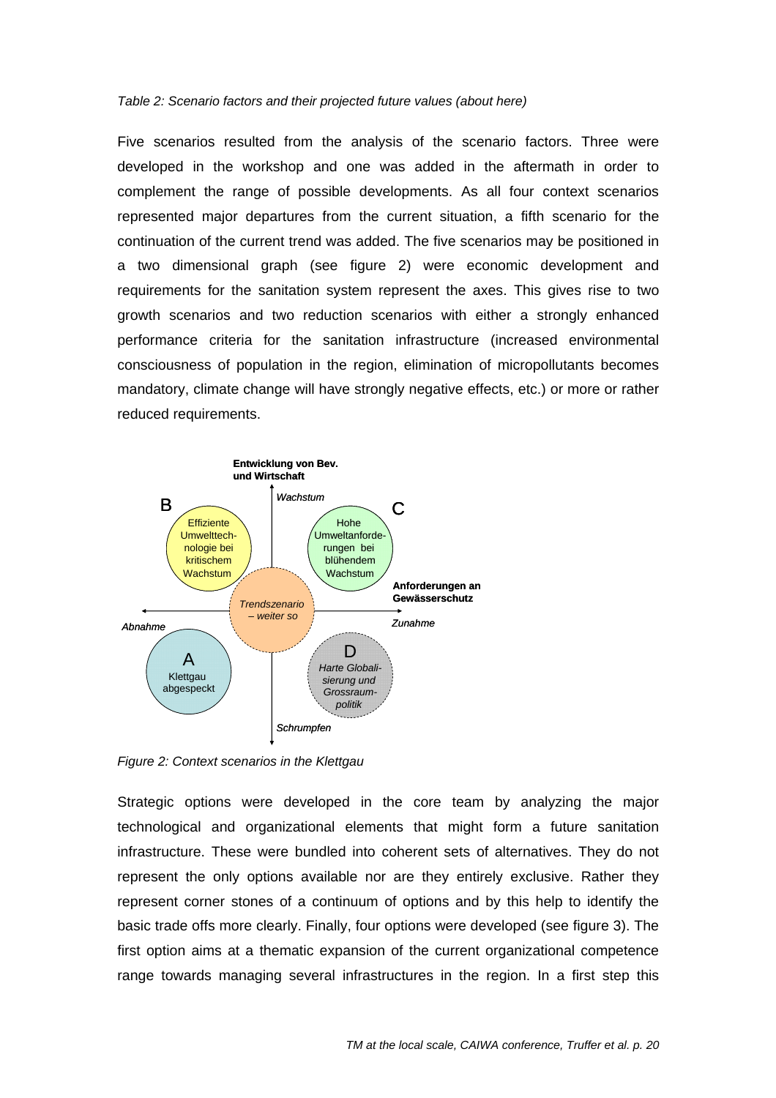#### *Table 2: Scenario factors and their projected future values (about here)*

Five scenarios resulted from the analysis of the scenario factors. Three were developed in the workshop and one was added in the aftermath in order to complement the range of possible developments. As all four context scenarios represented major departures from the current situation, a fifth scenario for the continuation of the current trend was added. The five scenarios may be positioned in a two dimensional graph (see figure 2) were economic development and requirements for the sanitation system represent the axes. This gives rise to two growth scenarios and two reduction scenarios with either a strongly enhanced performance criteria for the sanitation infrastructure (increased environmental consciousness of population in the region, elimination of micropollutants becomes mandatory, climate change will have strongly negative effects, etc.) or more or rather reduced requirements.



*Figure 2: Context scenarios in the Klettgau* 

Strategic options were developed in the core team by analyzing the major technological and organizational elements that might form a future sanitation infrastructure. These were bundled into coherent sets of alternatives. They do not represent the only options available nor are they entirely exclusive. Rather they represent corner stones of a continuum of options and by this help to identify the basic trade offs more clearly. Finally, four options were developed (see figure 3). The first option aims at a thematic expansion of the current organizational competence range towards managing several infrastructures in the region. In a first step this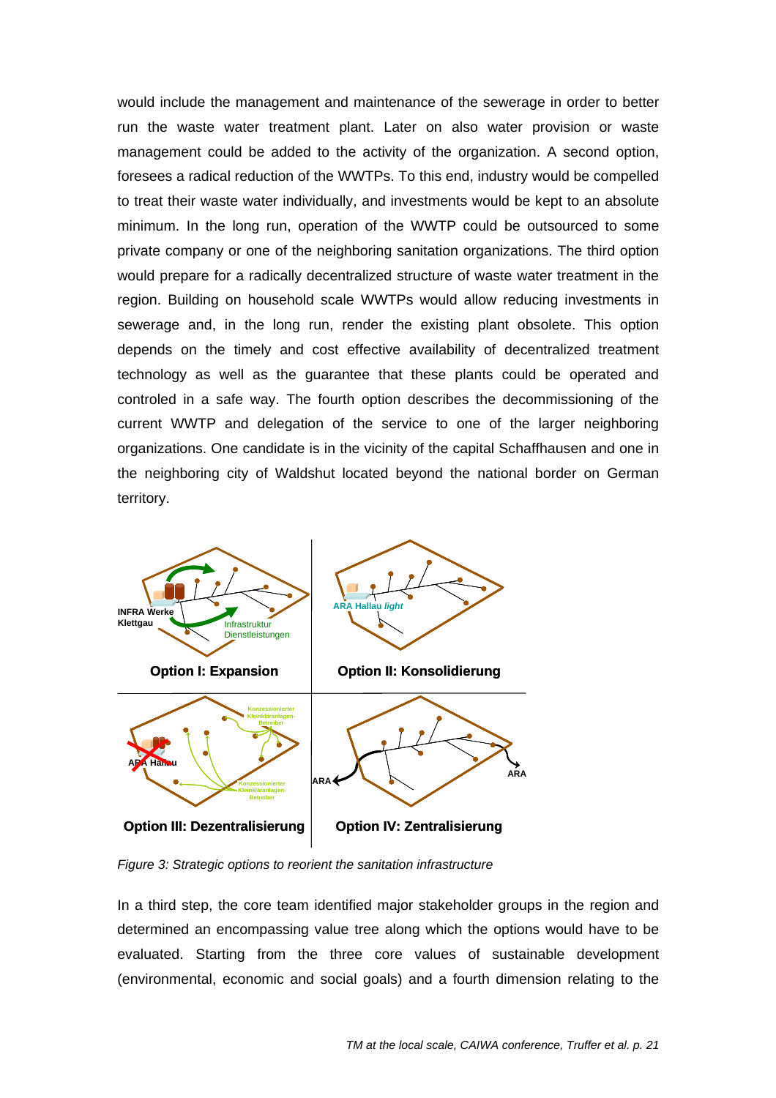would include the management and maintenance of the sewerage in order to better run the waste water treatment plant. Later on also water provision or waste management could be added to the activity of the organization. A second option, foresees a radical reduction of the WWTPs. To this end, industry would be compelled to treat their waste water individually, and investments would be kept to an absolute minimum. In the long run, operation of the WWTP could be outsourced to some private company or one of the neighboring sanitation organizations. The third option would prepare for a radically decentralized structure of waste water treatment in the region. Building on household scale WWTPs would allow reducing investments in sewerage and, in the long run, render the existing plant obsolete. This option depends on the timely and cost effective availability of decentralized treatment technology as well as the guarantee that these plants could be operated and controled in a safe way. The fourth option describes the decommissioning of the current WWTP and delegation of the service to one of the larger neighboring organizations. One candidate is in the vicinity of the capital Schaffhausen and one in the neighboring city of Waldshut located beyond the national border on German territory.



*Figure 3: Strategic options to reorient the sanitation infrastructure* 

In a third step, the core team identified major stakeholder groups in the region and determined an encompassing value tree along which the options would have to be evaluated. Starting from the three core values of sustainable development (environmental, economic and social goals) and a fourth dimension relating to the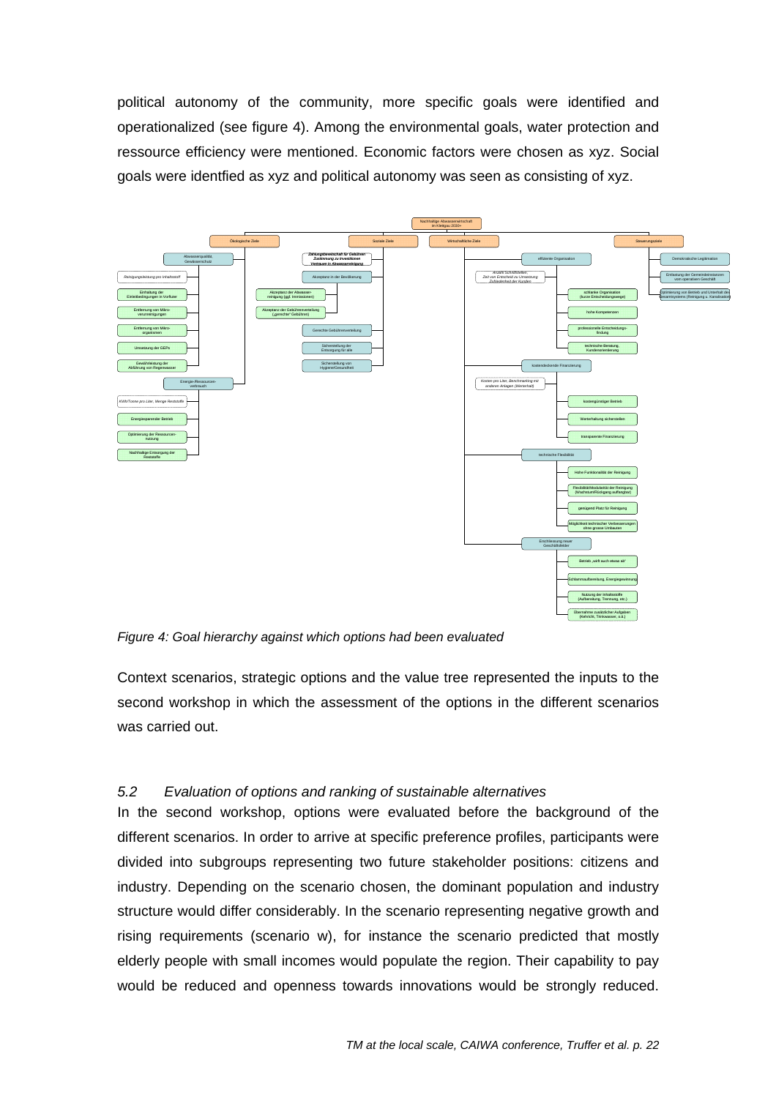<span id="page-21-0"></span>political autonomy of the community, more specific goals were identified and operationalized (see figure 4). Among the environmental goals, water protection and ressource efficiency were mentioned. Economic factors were chosen as xyz. Social goals were identfied as xyz and political autonomy was seen as consisting of xyz.



*Figure 4: Goal hierarchy against which options had been evaluated* 

Context scenarios, strategic options and the value tree represented the inputs to the second workshop in which the assessment of the options in the different scenarios was carried out.

### *5.2 Evaluation of options and ranking of sustainable alternatives*

In the second workshop, options were evaluated before the background of the different scenarios. In order to arrive at specific preference profiles, participants were divided into subgroups representing two future stakeholder positions: citizens and industry. Depending on the scenario chosen, the dominant population and industry structure would differ considerably. In the scenario representing negative growth and rising requirements (scenario w), for instance the scenario predicted that mostly elderly people with small incomes would populate the region. Their capability to pay would be reduced and openness towards innovations would be strongly reduced.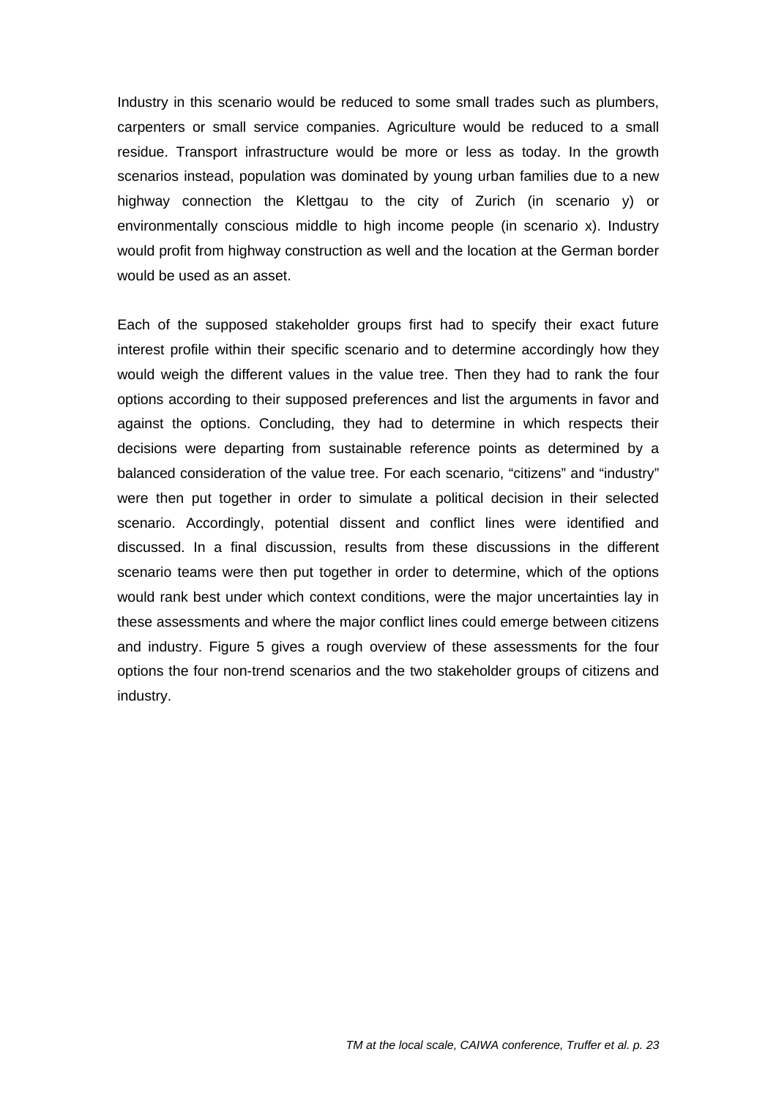Industry in this scenario would be reduced to some small trades such as plumbers, carpenters or small service companies. Agriculture would be reduced to a small residue. Transport infrastructure would be more or less as today. In the growth scenarios instead, population was dominated by young urban families due to a new highway connection the Klettgau to the city of Zurich (in scenario y) or environmentally conscious middle to high income people (in scenario x). Industry would profit from highway construction as well and the location at the German border would be used as an asset.

Each of the supposed stakeholder groups first had to specify their exact future interest profile within their specific scenario and to determine accordingly how they would weigh the different values in the value tree. Then they had to rank the four options according to their supposed preferences and list the arguments in favor and against the options. Concluding, they had to determine in which respects their decisions were departing from sustainable reference points as determined by a balanced consideration of the value tree. For each scenario, "citizens" and "industry" were then put together in order to simulate a political decision in their selected scenario. Accordingly, potential dissent and conflict lines were identified and discussed. In a final discussion, results from these discussions in the different scenario teams were then put together in order to determine, which of the options would rank best under which context conditions, were the major uncertainties lay in these assessments and where the major conflict lines could emerge between citizens and industry. Figure 5 gives a rough overview of these assessments for the four options the four non-trend scenarios and the two stakeholder groups of citizens and industry.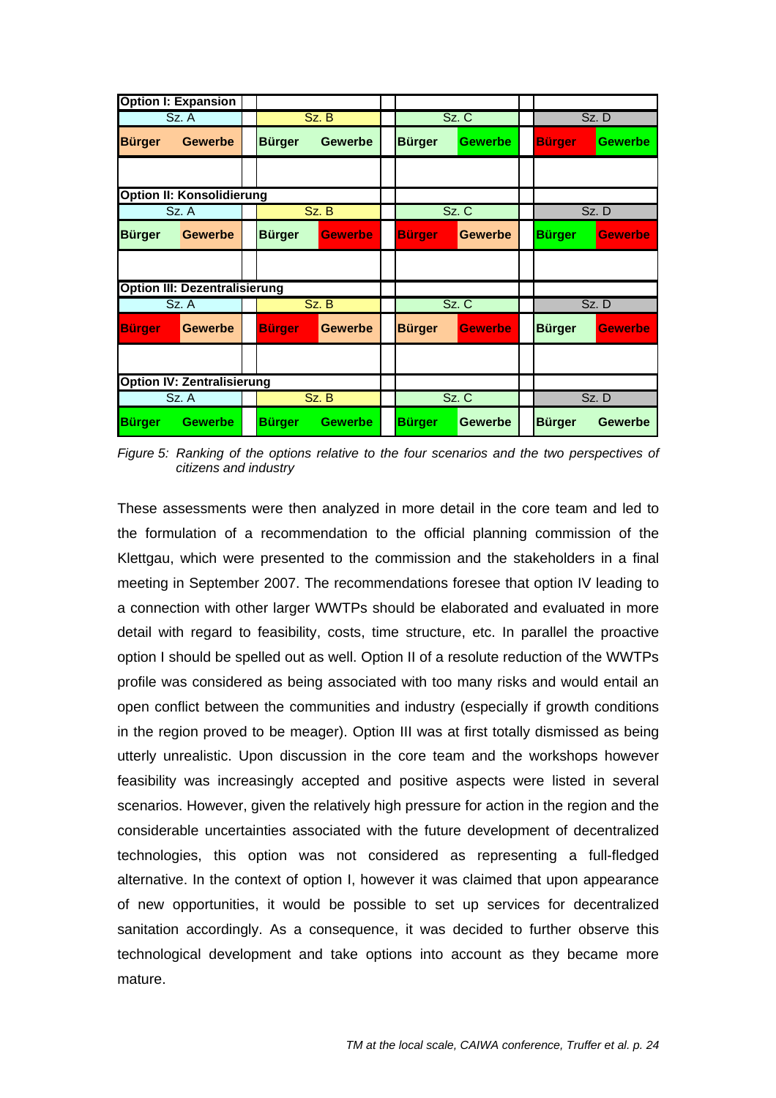| <b>Option I: Expansion</b>           |                                  |               |                |               |                |      |               |                |  |
|--------------------------------------|----------------------------------|---------------|----------------|---------------|----------------|------|---------------|----------------|--|
| Sz. A                                |                                  | Sz. B         |                | Sz. C         |                |      | Sz. D         |                |  |
| <b>Bürger</b>                        | <b>Gewerbe</b>                   | <b>Bürger</b> | <b>Gewerbe</b> | <b>Bürger</b> | <b>Gewerbe</b> |      | <b>Bürger</b> | <b>Gewerbe</b> |  |
|                                      |                                  |               |                |               |                |      |               |                |  |
|                                      | <b>Option II: Konsolidierung</b> |               |                |               |                |      |               |                |  |
|                                      | Sz. A                            | Sz. B         |                | Sz. C         |                | Sz.D |               |                |  |
| <b>Bürger</b>                        | <b>Gewerbe</b>                   | <b>Bürger</b> | <b>Gewerbe</b> | <b>Bürger</b> | <b>Gewerbe</b> |      | <b>Bürger</b> | <b>Gewerbe</b> |  |
|                                      |                                  |               |                |               |                |      |               |                |  |
| <b>Option III: Dezentralisierung</b> |                                  |               |                |               |                |      |               |                |  |
| Sz. A                                |                                  | Sz. B         |                | Sz. C         |                | Sz.D |               |                |  |
| <b>Bürger</b>                        | Gewerbe                          | <b>Bürger</b> | <b>Gewerbe</b> | <b>Bürger</b> | <b>Gewerbe</b> |      | <b>Bürger</b> | <b>Gewerbe</b> |  |
|                                      |                                  |               |                |               |                |      |               |                |  |
| <b>Option IV: Zentralisierung</b>    |                                  |               |                |               |                |      |               |                |  |
| Sz. A                                |                                  | Sz. B         |                | Sz. C         |                |      | Sz. D         |                |  |
| <b>Bürger</b>                        | <b>Gewerbe</b>                   | <b>Bürger</b> | <b>Gewerbe</b> | <b>Bürger</b> | <b>Gewerbe</b> |      | <b>Bürger</b> | <b>Gewerbe</b> |  |

*Figure 5: Ranking of the options relative to the four scenarios and the two perspectives of citizens and industry* 

These assessments were then analyzed in more detail in the core team and led to the formulation of a recommendation to the official planning commission of the Klettgau, which were presented to the commission and the stakeholders in a final meeting in September 2007. The recommendations foresee that option IV leading to a connection with other larger WWTPs should be elaborated and evaluated in more detail with regard to feasibility, costs, time structure, etc. In parallel the proactive option I should be spelled out as well. Option II of a resolute reduction of the WWTPs profile was considered as being associated with too many risks and would entail an open conflict between the communities and industry (especially if growth conditions in the region proved to be meager). Option III was at first totally dismissed as being utterly unrealistic. Upon discussion in the core team and the workshops however feasibility was increasingly accepted and positive aspects were listed in several scenarios. However, given the relatively high pressure for action in the region and the considerable uncertainties associated with the future development of decentralized technologies, this option was not considered as representing a full-fledged alternative. In the context of option I, however it was claimed that upon appearance of new opportunities, it would be possible to set up services for decentralized sanitation accordingly. As a consequence, it was decided to further observe this technological development and take options into account as they became more mature.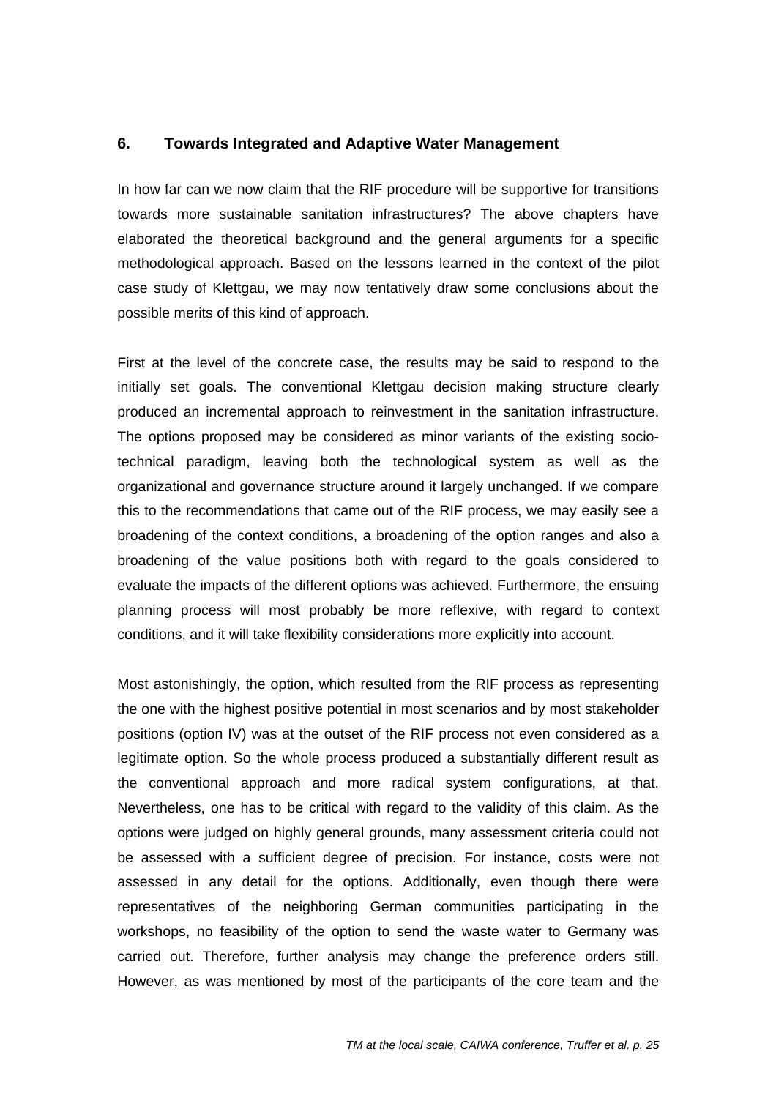### <span id="page-24-0"></span>**6. Towards Integrated and Adaptive Water Management**

In how far can we now claim that the RIF procedure will be supportive for transitions towards more sustainable sanitation infrastructures? The above chapters have elaborated the theoretical background and the general arguments for a specific methodological approach. Based on the lessons learned in the context of the pilot case study of Klettgau, we may now tentatively draw some conclusions about the possible merits of this kind of approach.

First at the level of the concrete case, the results may be said to respond to the initially set goals. The conventional Klettgau decision making structure clearly produced an incremental approach to reinvestment in the sanitation infrastructure. The options proposed may be considered as minor variants of the existing sociotechnical paradigm, leaving both the technological system as well as the organizational and governance structure around it largely unchanged. If we compare this to the recommendations that came out of the RIF process, we may easily see a broadening of the context conditions, a broadening of the option ranges and also a broadening of the value positions both with regard to the goals considered to evaluate the impacts of the different options was achieved. Furthermore, the ensuing planning process will most probably be more reflexive, with regard to context conditions, and it will take flexibility considerations more explicitly into account.

Most astonishingly, the option, which resulted from the RIF process as representing the one with the highest positive potential in most scenarios and by most stakeholder positions (option IV) was at the outset of the RIF process not even considered as a legitimate option. So the whole process produced a substantially different result as the conventional approach and more radical system configurations, at that. Nevertheless, one has to be critical with regard to the validity of this claim. As the options were judged on highly general grounds, many assessment criteria could not be assessed with a sufficient degree of precision. For instance, costs were not assessed in any detail for the options. Additionally, even though there were representatives of the neighboring German communities participating in the workshops, no feasibility of the option to send the waste water to Germany was carried out. Therefore, further analysis may change the preference orders still. However, as was mentioned by most of the participants of the core team and the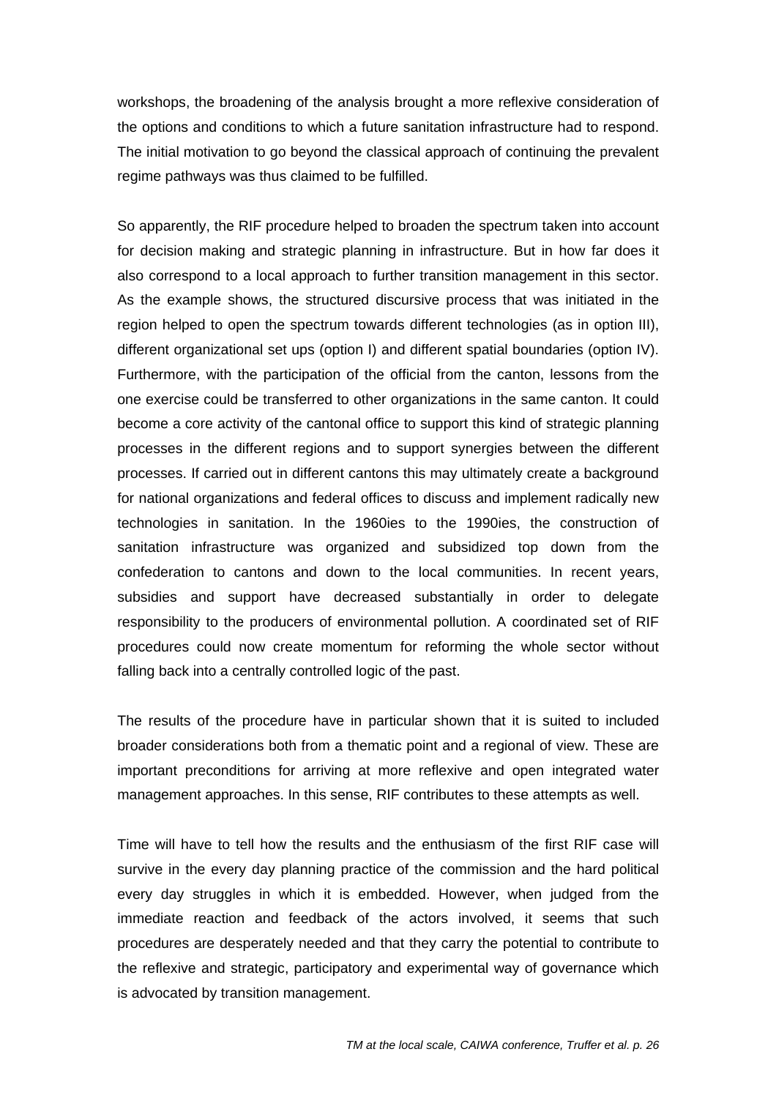workshops, the broadening of the analysis brought a more reflexive consideration of the options and conditions to which a future sanitation infrastructure had to respond. The initial motivation to go beyond the classical approach of continuing the prevalent regime pathways was thus claimed to be fulfilled.

So apparently, the RIF procedure helped to broaden the spectrum taken into account for decision making and strategic planning in infrastructure. But in how far does it also correspond to a local approach to further transition management in this sector. As the example shows, the structured discursive process that was initiated in the region helped to open the spectrum towards different technologies (as in option III), different organizational set ups (option I) and different spatial boundaries (option IV). Furthermore, with the participation of the official from the canton, lessons from the one exercise could be transferred to other organizations in the same canton. It could become a core activity of the cantonal office to support this kind of strategic planning processes in the different regions and to support synergies between the different processes. If carried out in different cantons this may ultimately create a background for national organizations and federal offices to discuss and implement radically new technologies in sanitation. In the 1960ies to the 1990ies, the construction of sanitation infrastructure was organized and subsidized top down from the confederation to cantons and down to the local communities. In recent years, subsidies and support have decreased substantially in order to delegate responsibility to the producers of environmental pollution. A coordinated set of RIF procedures could now create momentum for reforming the whole sector without falling back into a centrally controlled logic of the past.

The results of the procedure have in particular shown that it is suited to included broader considerations both from a thematic point and a regional of view. These are important preconditions for arriving at more reflexive and open integrated water management approaches. In this sense, RIF contributes to these attempts as well.

Time will have to tell how the results and the enthusiasm of the first RIF case will survive in the every day planning practice of the commission and the hard political every day struggles in which it is embedded. However, when judged from the immediate reaction and feedback of the actors involved, it seems that such procedures are desperately needed and that they carry the potential to contribute to the reflexive and strategic, participatory and experimental way of governance which is advocated by transition management.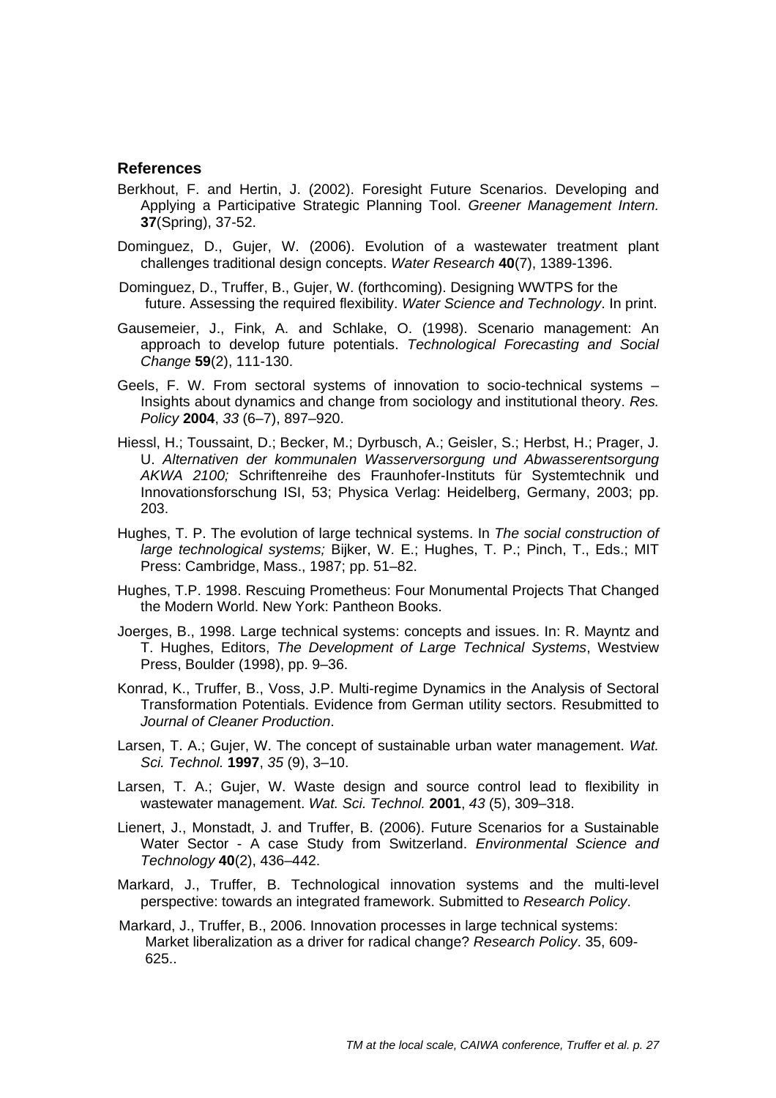### <span id="page-26-0"></span>**References**

- Berkhout, F. and Hertin, J. (2002). Foresight Future Scenarios. Developing and Applying a Participative Strategic Planning Tool. *Greener Management Intern.*  **37**(Spring), 37-52.
- Dominguez, D., Gujer, W. (2006). Evolution of a wastewater treatment plant challenges traditional design concepts. *Water Research* **40**(7), 1389-1396.
- Dominguez, D., Truffer, B., Gujer, W. (forthcoming). Designing WWTPS for the future. Assessing the required flexibility. *Water Science and Technology*. In print.
- Gausemeier, J., Fink, A. and Schlake, O. (1998). Scenario management: An approach to develop future potentials. *Technological Forecasting and Social Change* **59**(2), 111-130.
- Geels, F. W. From sectoral systems of innovation to socio-technical systems Insights about dynamics and change from sociology and institutional theory. *Res. Policy* **2004**, *33* (6–7), 897–920.
- Hiessl, H.; Toussaint, D.; Becker, M.; Dyrbusch, A.; Geisler, S.; Herbst, H.; Prager, J. U. *Alternativen der kommunalen Wasserversorgung und Abwasserentsorgung AKWA 2100;* Schriftenreihe des Fraunhofer-Instituts für Systemtechnik und Innovationsforschung ISI, 53; Physica Verlag: Heidelberg, Germany, 2003; pp. 203.
- Hughes, T. P. The evolution of large technical systems. In *The social construction of large technological systems;* Bijker, W. E.; Hughes, T. P.; Pinch, T., Eds.; MIT Press: Cambridge, Mass., 1987; pp. 51–82.
- Hughes, T.P. 1998. Rescuing Prometheus: Four Monumental Projects That Changed the Modern World. New York: Pantheon Books.
- [Joerges,](http://www.sciencedirect.com/science?_ob=ArticleURL&_udi=B6V77-4JXRX0B-1&_user=835422&_coverDate=06%2F30%2F2006&_rdoc=1&_fmt=&_orig=search&_sort=d&view=c&_acct=C000045139&_version=1&_urlVersion=0&_userid=835422&md5=c0392e83415968b16e840d8efbe799c0#bbib23) B., 1998. Large technical systems: concepts and issues. In: R. Mayntz and T. Hughes, Editors, *The Development of Large Technical Systems*, Westview Press, Boulder (1998), pp. 9–36.
- Konrad, K., Truffer, B., Voss, J.P. Multi-regime Dynamics in the Analysis of Sectoral Transformation Potentials. Evidence from German utility sectors. Resubmitted to *Journal of Cleaner Production*.
- Larsen, T. A.; Gujer, W. The concept of sustainable urban water management. *Wat. Sci. Technol.* **1997**, *35* (9), 3–10.
- Larsen, T. A.; Gujer, W. Waste design and source control lead to flexibility in wastewater management. *Wat. Sci. Technol.* **2001**, *43* (5), 309–318.
- Lienert, J., Monstadt, J. and Truffer, B. (2006). Future Scenarios for a Sustainable Water Sector - A case Study from Switzerland. *Environmental Science and Technology* **40**(2), 436–442.
- Markard, J., Truffer, B. Technological innovation systems and the multi-level perspective: towards an integrated framework. Submitted to *Research Policy*.
- Markard, J., Truffer, B., 2006. Innovation processes in large technical systems: Market liberalization as a driver for radical change? *Research Policy*. 35, 609- 625..